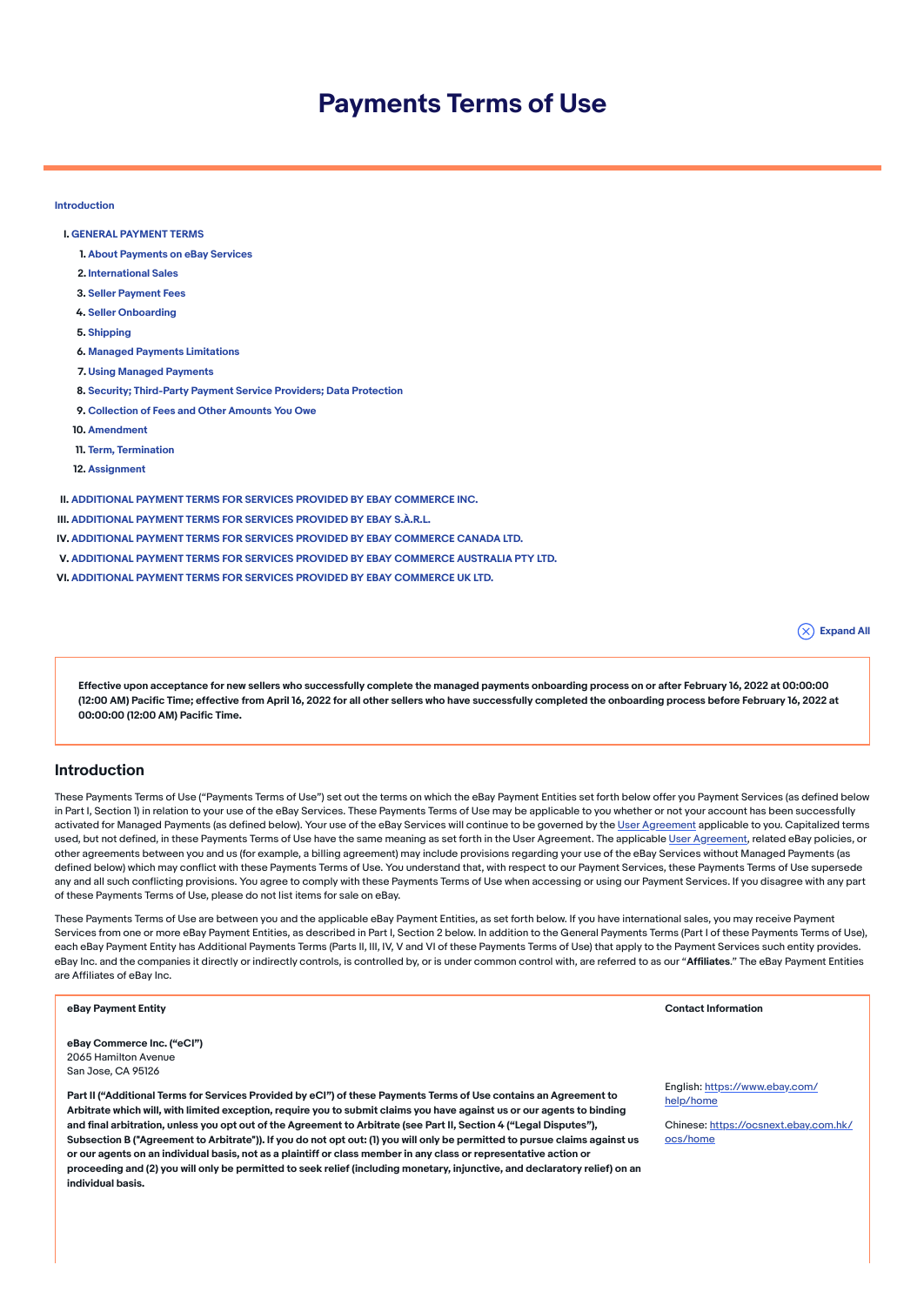# Payments Terms of Use

[Introduction](#page-0-0)

- I. GENERAL [PAYMENT](#page-1-0) TERMS
	- 1. About [Payments](#page-1-1) on eBay Services
	- 2. [International](#page-2-0) Sales
	- 3. Seller [Payment](#page-3-0) Fees
	- 4. Seller [Onboarding](#page-3-1)
	- 5. [Shipping](#page-4-0)
	- 6. Managed Payments [Limitations](#page-4-1)
	- 7. Using Managed [Payments](#page-4-2)
	- 8. Security; [Third-Party](#page-5-0) Payment Service Providers; Data Protection
	- 9. [Collection](#page-6-0) of Fees and Other Amounts You Owe
- 10. [Amendment](#page-6-1)
- 11. Term, [Termination](#page-7-0)
- 12. [Assignment](#page-7-1)

II. [ADDITIONAL](#page-7-2) PAYMENT TERMS FOR SERVICES PROVIDED BY EBAY COMMERCE INC.

- III. [ADDITIONAL](#page-9-0) PAYMENT TERMS FOR SERVICES PROVIDED BY EBAY S.À.R.L.
- IV. [ADDITIONAL](#page-14-0) PAYMENT TERMS FOR SERVICES PROVIDED BY EBAY COMMERCE CANADA LTD.
- V. [ADDITIONAL](#page-15-0) PAYMENT TERMS FOR SERVICES PROVIDED BY EBAY COMMERCE AUSTRALIA PTY LTD.
- VI. [ADDITIONAL](#page-16-0) PAYMENT TERMS FOR SERVICES PROVIDED BY EBAY COMMERCE UK LTD.

 $(\overline{\times})$  Expand All

Effective upon acceptance for new sellers who successfully complete the managed payments onboarding process on or after February 16, 2022 at 00:00:00 (12:00 AM) Pacific Time; effective from April 16, 2022 for all other sellers who have successfully completed the onboarding process before February 16, 2022 at 00:00:00 (12:00 AM) Pacific Time.

### <span id="page-0-0"></span>Introduction

These Payments Terms of Use ("Payments Terms of Use") set out the terms on which the eBay Payment Entities set forth below offer you Payment Services (as defined below in Part I, Section 1) in relation to your use of the eBay Services. These Payments Terms of Use may be applicable to you whether or not your account has been successfully activated for Managed Payments (as defined below). Your use of the eBay Services will continue to be governed by the User [Agreement](https://www.ebay.com/help/policies/member-behaviour-policies/user-agreement?id=4259) applicable to you. Capitalized terms used, but not defined, in these Payments Terms of Use have the same meaning as set forth in the User Agreement. The applicable User [Agreement,](https://www.ebay.com/help/policies/member-behaviour-policies/user-agreement?id=4259) related eBay policies, or other agreements between you and us (for example, a billing agreement) may include provisions regarding your use of the eBay Services without Managed Payments (as defined below) which may conflict with these Payments Terms of Use. You understand that, with respect to our Payment Services, these Payments Terms of Use supersede any and all such conflicting provisions. You agree to comply with these Payments Terms of Use when accessing or using our Payment Services. If you disagree with any part of these Payments Terms of Use, please do not list items for sale on eBay.

These Payments Terms of Use are between you and the applicable eBay Payment Entities, as set forth below. If you have international sales, you may receive Payment Services from one or more eBay Payment Entities, as described in Part I, Section 2 below. In addition to the General Payments Terms (Part I of these Payments Terms of Use), each eBay Payment Entity has Additional Payments Terms (Parts II, III, IV, V and VI of these Payments Terms of Use) that apply to the Payment Services such entity provides. eBay Inc. and the companies it directly or indirectly controls, is controlled by, or is under common control with, are referred to as our "Affiliates." The eBay Payment Entities are Affiliates of eBay Inc.

#### eBay Payment Entity Contact Information

eBay Commerce Inc. ("eCI") 2065 Hamilton Avenue San Jose, CA 95126

Part II ("Additional Terms for Services Provided by eCI") of these Payments Terms of Use contains an Agreement to Arbitrate which will, with limited exception, require you to submit claims you have against us or our agents to binding and final arbitration, unless you opt out of the Agreement to Arbitrate (see Part II, Section 4 ("Legal Disputes"), Subsection B ("Agreement to Arbitrate")). If you do not opt out: (1) you will only be permitted to pursue claims against us or our agents on an individual basis, not as a plaintiff or class member in any class or representative action or proceeding and (2) you will only be permitted to seek relief (including monetary, injunctive, and declaratory relief) on an individual basis.

English: [https://www.ebay.com/](https://www.ebay.com/help/home) help/home

Chinese: [https://ocsnext.ebay.com.hk/](https://ocsnext.ebay.com.hk/ocs/home) ocs/home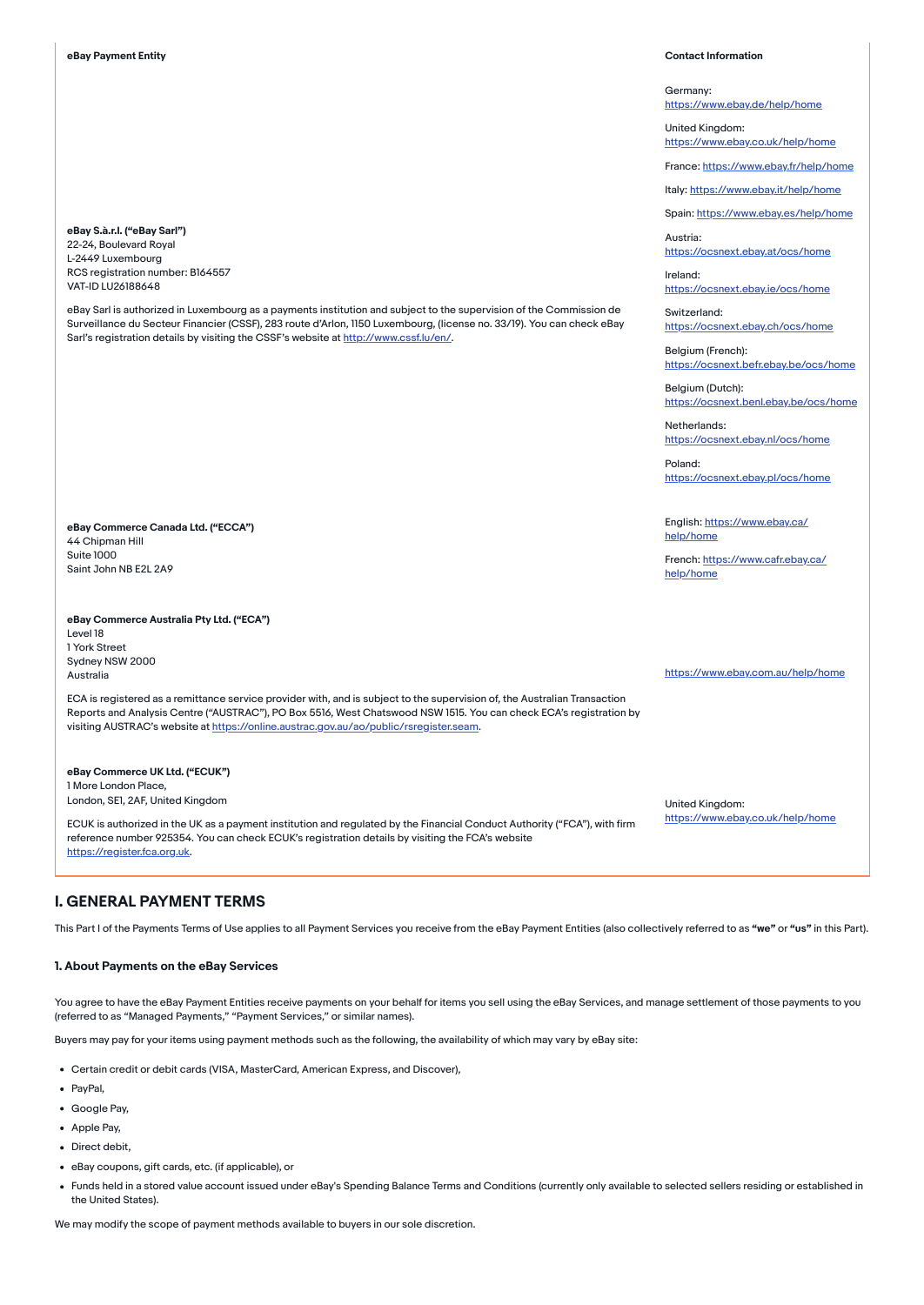eBay S.à.r.l. ("eBay Sarl") 22-24, Boulevard Royal L-2449 Luxembourg RCS registration number: B164557 VAT-ID LU26188648

eBay Sarl is authorized in Luxembourg as a payments institution and subject to the supervision of the Commission de Surveillance du Secteur Financier (CSSF), 283 route d'Arlon, 1150 Luxembourg, (license no. 33/19). You can check eBay Sarl's registration details by visiting the CSSF's website at [http://www.cssf.lu/en/.](http://www.cssf.lu/en/)

eBay Commerce Canada Ltd. ("ECCA") 44 Chipman Hill Suite 1000 Saint John NB E2L 2A9

eBay Commerce Australia Pty Ltd. ("ECA") Level 18

1 York Street Sydney NSW 2000 Australia

ECA is registered as a remittance service provider with, and is subject to the supervision of, the Australian Transaction Reports and Analysis Centre ("AUSTRAC"), PO Box 5516, West Chatswood NSW 1515. You can check ECA's registration by visiting AUSTRAC's website at <https://online.austrac.gov.au/ao/public/rsregister.seam>.

eBay Commerce UK Ltd. ("ECUK") 1 More London Place, London, SE1, 2AF, United Kingdom

ECUK is authorized in the UK as a payment institution and regulated by the Financial Conduct Authority ("FCA"), with firm reference number 925354. You can check ECUK's registration details by visiting the FCA's website [https://register.fca.org.uk](https://register.fca.org.uk/).

### <span id="page-1-0"></span>I. GENERAL PAYMENT TERMS

This Part I of the Payments Terms of Use applies to all Payment Services you receive from the eBay Payment Entities (also collectively referred to as "we" or "us" in this Part).

### <span id="page-1-1"></span>1. About Payments on the eBay Services

You agree to have the eBay Payment Entities receive payments on your behalf for items you sell using the eBay Services, and manage settlement of those payments to you (referred to as "Managed Payments," "Payment Services," or similar names).

Buyers may pay for your items using payment methods such as the following, the availability of which may vary by eBay site:

- Certain credit or debit cards (VISA, MasterCard, American Express, and Discover),
- PavPal,
- Google Pay,
- Apple Pav.
- Direct debit,
- eBay coupons, gift cards, etc. (if applicable), or
- Funds held in a stored value account issued under eBay's Spending Balance Terms and Conditions (currently only available to selected sellers residing or established in the United States).

We may modify the scope of payment methods available to buyers in our sole discretion.

Austria:

Germany: <https://www.ebay.de/help/home>

United Kingdom: <https://www.ebay.co.uk/help/home>

France: <https://www.ebay.fr/help/home>

Italy: <https://www.ebay.it/help/home>

Spain: <https://www.ebay.es/help/home>

<https://ocsnext.ebay.at/ocs/home>

Ireland: <https://ocsnext.ebay.ie/ocs/home>

Switzerland: <https://ocsnext.ebay.ch/ocs/home>

Belgium (French): <https://ocsnext.befr.ebay.be/ocs/home>

Belgium (Dutch): <https://ocsnext.benl.ebay.be/ocs/home>

Netherlands: <https://ocsnext.ebay.nl/ocs/home>

Poland: <https://ocsnext.ebay.pl/ocs/home>

English: [https://www.ebay.ca/](https://www.ebay.ca/help/home) help/home

French: [https://www.cafr.ebay.ca/](https://www.cafr.ebay.ca/help/home) help/home

<https://www.ebay.com.au/help/home>

United Kingdom: <https://www.ebay.co.uk/help/home>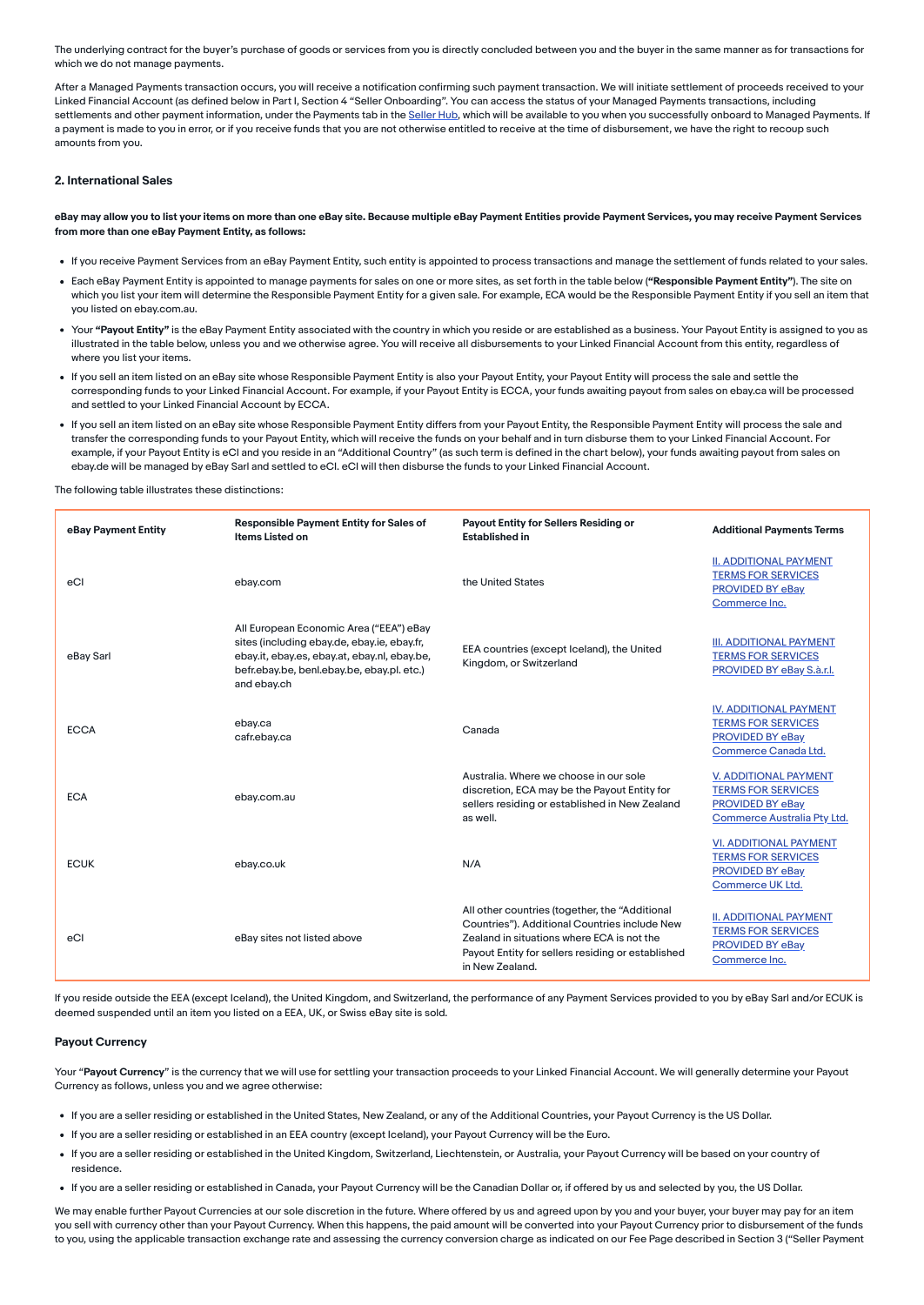The underlying contract for the buyer's purchase of goods or services from you is directly concluded between you and the buyer in the same manner as for transactions for which we do not manage payments.

After a Managed Payments transaction occurs, you will receive a notification confirming such payment transaction. We will initiate settlement of proceeds received to your Linked Financial Account (as defined below in Part I, Section 4 "Seller Onboarding". You can access the status of your Managed Payments transactions, including settlements and other payment information, under the Payments tab in the [Seller](https://www.ebay.com/sh/landing) Hub, which will be available to you when you successfully onboard to Managed Payments. If a payment is made to you in error, or if you receive funds that you are not otherwise entitled to receive at the time of disbursement, we have the right to recoup such amounts from you.

#### <span id="page-2-0"></span>2. International Sales

eBay may allow you to list your items on more than one eBay site. Because multiple eBay Payment Entities provide Payment Services, you may receive Payment Services from more than one eBay Payment Entity, as follows:

- If you receive Payment Services from an eBay Payment Entity, such entity is appointed to process transactions and manage the settlement of funds related to your sales.
- . Each eBay Payment Entity is appointed to manage payments for sales on one or more sites, as set forth in the table below ("Responsible Payment Entity"). The site on which you list your item will determine the Responsible Payment Entity for a given sale. For example, ECA would be the Responsible Payment Entity if you sell an item that you listed on ebay.com.au.
- Your "Payout Entity" is the eBay Payment Entity associated with the country in which you reside or are established as a business. Your Payout Entity is assigned to you as illustrated in the table below, unless you and we otherwise agree. You will receive all disbursements to your Linked Financial Account from this entity, regardless of where you list your items.
- If you sell an item listed on an eBay site whose Responsible Payment Entity is also your Payout Entity, your Payout Entity will process the sale and settle the corresponding funds to your Linked Financial Account. For example, if your Payout Entity is ECCA, your funds awaiting payout from sales on ebay.ca will be processed and settled to your Linked Financial Account by ECCA.
- If you sell an item listed on an eBay site whose Responsible Payment Entity differs from your Payout Entity, the Responsible Payment Entity will process the sale and transfer the corresponding funds to your Payout Entity, which will receive the funds on your behalf and in turn disburse them to your Linked Financial Account. For example, if your Payout Entity is eCI and you reside in an "Additional Country" (as such term is defined in the chart below), your funds awaiting payout from sales on ebay.de will be managed by eBay Sarl and settled to eCI. eCI will then disburse the funds to your Linked Financial Account.

The following table illustrates these distinctions:

| eBay Payment Entity | <b>Responsible Payment Entity for Sales of</b><br>Items Listed on                                                                                                                                   | Payout Entity for Sellers Residing or<br><b>Established in</b>                                                                                                                                                        | <b>Additional Payments Terms</b>                                                                       |
|---------------------|-----------------------------------------------------------------------------------------------------------------------------------------------------------------------------------------------------|-----------------------------------------------------------------------------------------------------------------------------------------------------------------------------------------------------------------------|--------------------------------------------------------------------------------------------------------|
| eCl                 | ebay.com                                                                                                                                                                                            | the United States                                                                                                                                                                                                     | <b>II. ADDITIONAL PAYMENT</b><br><b>TERMS FOR SERVICES</b><br>PROVIDED BY eBay<br>Commerce Inc.        |
| eBay Sarl           | All European Economic Area ("EEA") eBay<br>sites (including ebay.de, ebay.ie, ebay.fr,<br>ebay.it, ebay.es, ebay.at, ebay.nl, ebay.be,<br>befr.ebay.be, benl.ebay.be, ebay.pl. etc.)<br>and ebay.ch | EEA countries (except Iceland), the United<br>Kingdom, or Switzerland                                                                                                                                                 | <b>III. ADDITIONAL PAYMENT</b><br><b>TERMS FOR SERVICES</b><br>PROVIDED BY eBay S.à.r.l.               |
| <b>ECCA</b>         | ebay.ca<br>cafr.ebay.ca                                                                                                                                                                             | Canada                                                                                                                                                                                                                | <b>IV. ADDITIONAL PAYMENT</b><br><b>TERMS FOR SERVICES</b><br>PROVIDED BY eBay<br>Commerce Canada Ltd. |
| <b>ECA</b>          | ebay.com.au                                                                                                                                                                                         | Australia. Where we choose in our sole<br>discretion, ECA may be the Payout Entity for<br>sellers residing or established in New Zealand<br>as well.                                                                  | V. ADDITIONAL PAYMENT<br><b>TERMS FOR SERVICES</b><br>PROVIDED BY eBay<br>Commerce Australia Pty Ltd.  |
| <b>ECUK</b>         | ebay.co.uk                                                                                                                                                                                          | N/A                                                                                                                                                                                                                   | <b>VI. ADDITIONAL PAYMENT</b><br><b>TERMS FOR SERVICES</b><br>PROVIDED BY eBay<br>Commerce UK Ltd.     |
| eC                  | eBay sites not listed above                                                                                                                                                                         | All other countries (together, the "Additional<br>Countries"). Additional Countries include New<br>Zealand in situations where ECA is not the<br>Payout Entity for sellers residing or established<br>in New Zealand. | <b>II. ADDITIONAL PAYMENT</b><br><b>TERMS FOR SERVICES</b><br>PROVIDED BY eBay<br>Commerce Inc.        |

If you reside outside the EEA (except Iceland), the United Kingdom, and Switzerland, the performance of any Payment Services provided to you by eBay Sarl and/or ECUK is deemed suspended until an item you listed on a EEA, UK, or Swiss eBay site is sold.

#### Payout Currency

Your "Payout Currency" is the currency that we will use for settling your transaction proceeds to your Linked Financial Account. We will generally determine your Payout Currency as follows, unless you and we agree otherwise:

- If you are a seller residing or established in the United States, New Zealand, or any of the Additional Countries, your Payout Currency is the US Dollar.
- If you are a seller residing or established in an EEA country (except Iceland), your Payout Currency will be the Euro.
- If you are a seller residing or established in the United Kingdom, Switzerland, Liechtenstein, or Australia, your Payout Currency will be based on your country of residence.
- If you are a seller residing or established in Canada, your Payout Currency will be the Canadian Dollar or, if offered by us and selected by you, the US Dollar.

We may enable further Payout Currencies at our sole discretion in the future. Where offered by us and agreed upon by you and your buyer, your buyer may pay for an item you sell with currency other than your Payout Currency. When this happens, the paid amount will be converted into your Payout Currency prior to disbursement of the funds to you, using the applicable transaction exchange rate and assessing the currency conversion charge as indicated on our Fee Page described in Section 3 ("Seller Payment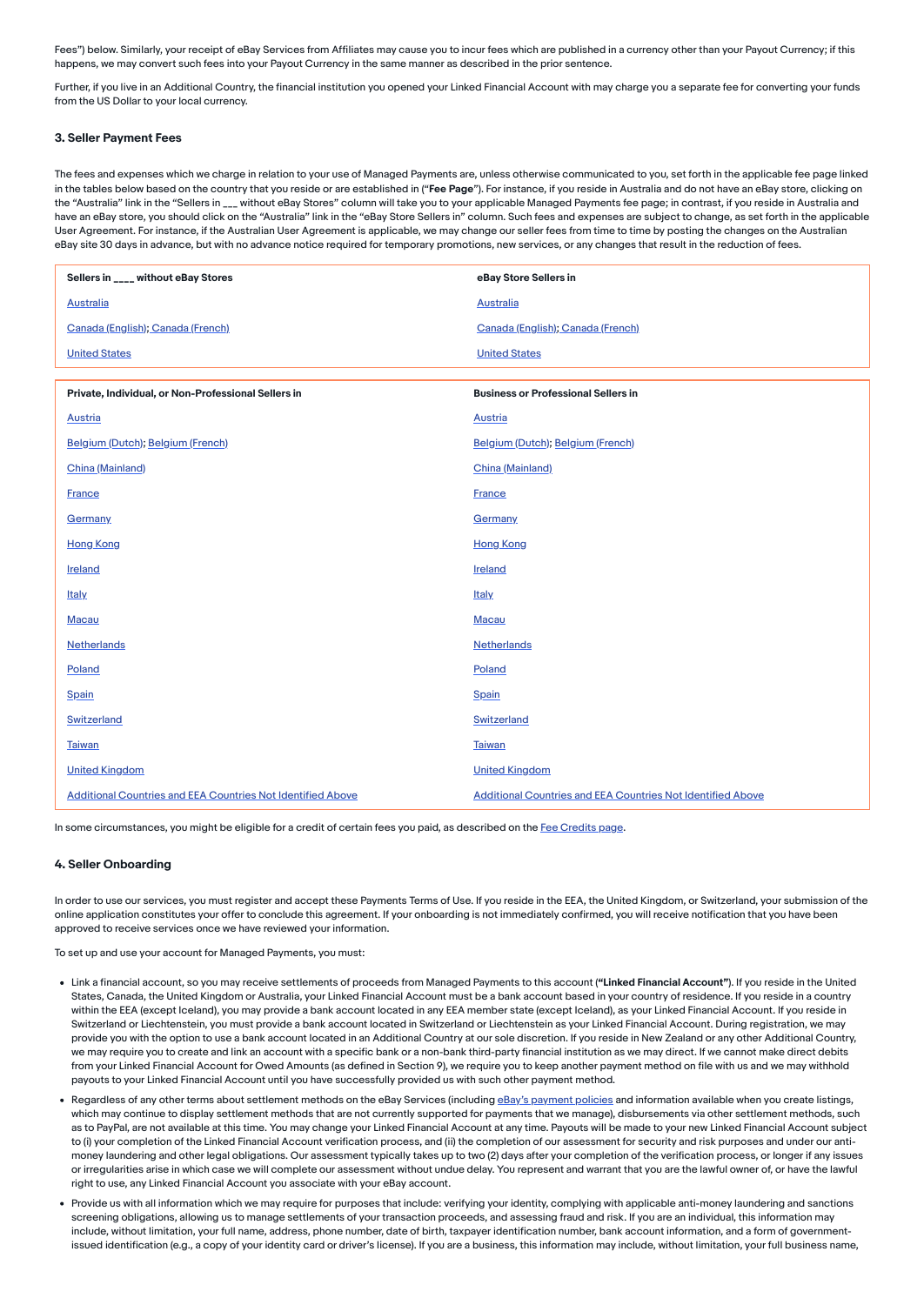Fees") below. Similarly, your receipt of eBay Services from Affiliates may cause you to incur fees which are published in a currency other than your Payout Currency; if this happens, we may convert such fees into your Payout Currency in the same manner as described in the prior sentence.

Further, if you live in an Additional Country, the financial institution you opened your Linked Financial Account with may charge you a separate fee for converting your funds from the US Dollar to your local currency.

#### <span id="page-3-0"></span>3. Seller Payment Fees

The fees and expenses which we charge in relation to your use of Managed Payments are, unless otherwise communicated to you, set forth in the applicable fee page linked in the tables below based on the country that you reside or are established in ("Fee Page"). For instance, if you reside in Australia and do not have an eBay store, clicking on the "Australia" link in the "Sellers in \_\_\_ without eBay Stores" column will take you to your applicable Managed Payments fee page; in contrast, if you reside in Australia and have an eBay store, you should click on the "Australia" link in the "eBay Store Sellers in" column. Such fees and expenses are subject to change, as set forth in the applicable User Agreement. For instance, if the Australian User Agreement is applicable, we may change our seller fees from time to time by posting the changes on the Australian eBay site 30 days in advance, but with no advance notice required for temporary promotions, new services, or any changes that result in the reduction of fees.

| Sellers in ____ without eBay Stores                                | eBay Store Sellers in                                              |  |
|--------------------------------------------------------------------|--------------------------------------------------------------------|--|
| <b>Australia</b>                                                   | <b>Australia</b>                                                   |  |
| Canada (English); Canada (French)                                  | Canada (English); Canada (French)                                  |  |
| <b>United States</b>                                               | <b>United States</b>                                               |  |
|                                                                    |                                                                    |  |
| Private, Individual, or Non-Professional Sellers in                | <b>Business or Professional Sellers in</b>                         |  |
| <b>Austria</b>                                                     | <b>Austria</b>                                                     |  |
| Belgium (Dutch); Belgium (French)                                  | Belgium (Dutch); Belgium (French)                                  |  |
| China (Mainland)                                                   | China (Mainland)                                                   |  |
| <b>France</b>                                                      | <b>France</b>                                                      |  |
| <b>Germany</b>                                                     | <b>Germany</b>                                                     |  |
| <b>Hong Kong</b>                                                   | <b>Hong Kong</b>                                                   |  |
| Ireland                                                            | Ireland                                                            |  |
| Italy.                                                             | <b>Italy</b>                                                       |  |
| Macau                                                              | Macau                                                              |  |
| Netherlands                                                        | Netherlands                                                        |  |
| Poland                                                             | Poland                                                             |  |
| Spain                                                              | Spain                                                              |  |
| Switzerland                                                        | Switzerland                                                        |  |
| <b>Taiwan</b>                                                      | <b>Taiwan</b>                                                      |  |
| <b>United Kingdom</b>                                              | <b>United Kingdom</b>                                              |  |
| <b>Additional Countries and EEA Countries Not Identified Above</b> | <b>Additional Countries and EEA Countries Not Identified Above</b> |  |

In some circumstances, you might be eligible for a credit of certain fees you paid, as described on the Fee [Credits](https://www.ebay.com/help/selling/fees-credits-invoices/fee-credits?id=4128) page.

#### <span id="page-3-1"></span>4. Seller Onboarding

In order to use our services, you must register and accept these Payments Terms of Use. If you reside in the EEA, the United Kingdom, or Switzerland, your submission of the online application constitutes your offer to conclude this agreement. If your onboarding is not immediately confirmed, you will receive notification that you have been approved to receive services once we have reviewed your information.

To set up and use your account for Managed Payments, you must:

- . Link a financial account, so you may receive settlements of proceeds from Managed Payments to this account ("Linked Financial Account"). If you reside in the United States, Canada, the United Kingdom or Australia, your Linked Financial Account must be a bank account based in your country of residence. If you reside in a country within the EEA (except Iceland), you may provide a bank account located in any EEA member state (except Iceland), as your Linked Financial Account. If you reside in Switzerland or Liechtenstein, you must provide a bank account located in Switzerland or Liechtenstein as your Linked Financial Account. During registration, we may provide you with the option to use a bank account located in an Additional Country at our sole discretion. If you reside in New Zealand or any other Additional Country, we may require you to create and link an account with a specific bank or a non-bank third-party financial institution as we may direct. If we cannot make direct debits from your Linked Financial Account for Owed Amounts (as defined in Section 9), we require you to keep another payment method on file with us and we may withhold payouts to your Linked Financial Account until you have successfully provided us with such other payment method.
- Regardless of any other terms about settlement methods on the eBay Services (including eBay's [payment](https://www.ebay.com/help/policies/payment-policies/payment-policies?id=4219) policies and information available when you create listings, which may continue to display settlement methods that are not currently supported for payments that we manage), disbursements via other settlement methods, such as to PayPal, are not available at this time. You may change your Linked Financial Account at any time. Payouts will be made to your new Linked Financial Account subject to (i) your completion of the Linked Financial Account verification process, and (ii) the completion of our assessment for security and risk purposes and under our anti money laundering and other legal obligations. Our assessment typically takes up to two (2) days after your completion of the verification process, or longer if any issues or irregularities arise in which case we will complete our assessment without undue delay. You represent and warrant that you are the lawful owner of, or have the lawful right to use, any Linked Financial Account you associate with your eBay account.
- Provide us with all information which we may require for purposes that include: verifying your identity, complying with applicable anti-money laundering and sanctions screening obligations, allowing us to manage settlements of your transaction proceeds, and assessing fraud and risk. If you are an individual, this information may include, without limitation, your full name, address, phone number, date of birth, taxpayer identification number, bank account information, and a form of governmentissued identification (e.g., a copy of your identity card or driver's license). If you are a business, this information may include, without limitation, your full business name,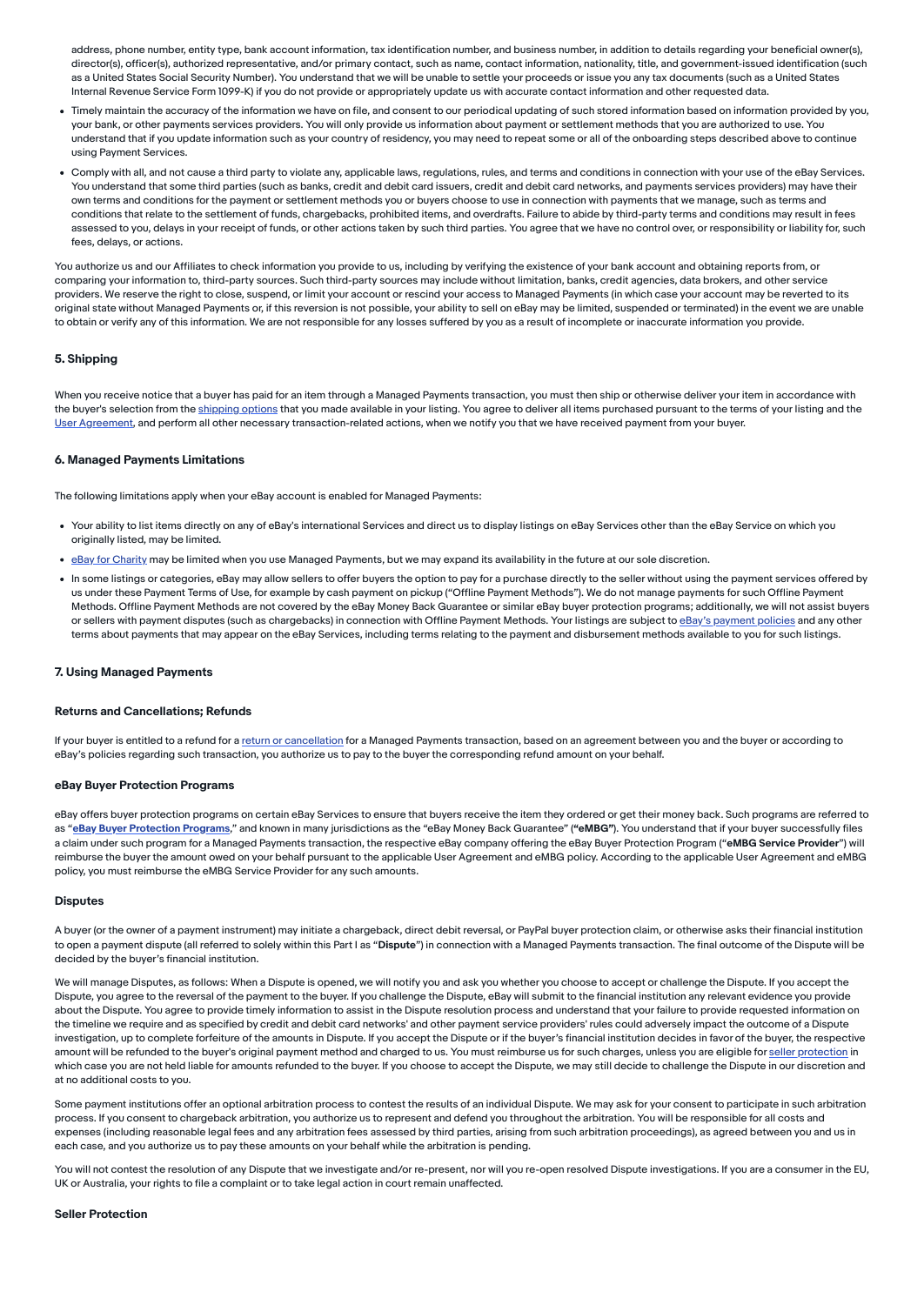address, phone number, entity type, bank account information, tax identification number, and business number, in addition to details regarding your beneficial owner(s), director(s), officer(s), authorized representative, and/or primary contact, such as name, contact information, nationality, title, and government-issued identification (such as a United States Social Security Number). You understand that we will be unable to settle your proceeds or issue you any tax documents (such as a United States Internal Revenue Service Form 1099-K) if you do not provide or appropriately update us with accurate contact information and other requested data.

- Timely maintain the accuracy of the information we have on file, and consent to our periodical updating of such stored information based on information provided by you, your bank, or other payments services providers. You will only provide us information about payment or settlement methods that you are authorized to use. You understand that if you update information such as your country of residency, you may need to repeat some or all of the onboarding steps described above to continue using Payment Services.
- Comply with all, and not cause a third party to violate any, applicable laws, regulations, rules, and terms and conditions in connection with your use of the eBay Services. You understand that some third parties (such as banks, credit and debit card issuers, credit and debit card networks, and payments services providers) may have their own terms and conditions for the payment or settlement methods you or buyers choose to use in connection with payments that we manage, such as terms and conditions that relate to the settlement of funds, chargebacks, prohibited items, and overdrafts. Failure to abide by third-party terms and conditions may result in fees assessed to you, delays in your receipt of funds, or other actions taken by such third parties. You agree that we have no control over, or responsibility or liability for, such fees, delays, or actions.

You authorize us and our Affiliates to check information you provide to us, including by verifying the existence of your bank account and obtaining reports from, or comparing your information to, third-party sources. Such third-party sources may include without limitation, banks, credit agencies, data brokers, and other service providers. We reserve the right to close, suspend, or limit your account or rescind your access to Managed Payments (in which case your account may be reverted to its original state without Managed Payments or, if this reversion is not possible, your ability to sell on eBay may be limited, suspended or terminated) in the event we are unable to obtain or verify any of this information. We are not responsible for any losses suffered by you as a result of incomplete or inaccurate information you provide.

### <span id="page-4-0"></span>5. Shipping

When you receive notice that a buyer has paid for an item through a Managed Payments transaction, you must then ship or otherwise deliver your item in accordance with the buyer's selection from the [shipping](https://www.ebay.com/help/selling/posting-items/setting-postage-options?id=4089) options that you made available in your listing. You agree to deliver all items purchased pursuant to the terms of your listing and the User [Agreement,](https://www.ebay.com/help/policies/member-behaviour-policies/user-agreement?id=4259) and perform all other necessary transaction-related actions, when we notify you that we have received payment from your buyer.

#### <span id="page-4-1"></span>6. Managed Payments Limitations

The following limitations apply when your eBay account is enabled for Managed Payments:

- Your ability to list items directly on any of eBay's international Services and direct us to display listings on eBay Services other than the eBay Service on which you originally listed, may be limited.
- . eBay for [Charity](https://www.charity.ebay.com/) may be limited when you use Managed Payments, but we may expand its availability in the future at our sole discretion.
- In some listings or categories, eBay may allow sellers to offer buyers the option to pay for a purchase directly to the seller without using the payment services offered by us under these Payment Terms of Use, for example by cash payment on pickup ("Offline Payment Methods"). We do not manage payments for such Offline Payment Methods. Offline Payment Methods are not covered by the eBay Money Back Guarantee or similar eBay buyer protection programs; additionally, we will not assist buyers or sellers with [payment](https://www.ebay.com/help/policies/payment-policies/payment-policies?id=4219) disputes (such as chargebacks) in connection with Offline Payment Methods. Your listings are subject to eBay's payment policies and any other terms about payments that may appear on the eBay Services, including terms relating to the payment and disbursement methods available to you for such listings.

#### <span id="page-4-2"></span>7. Using Managed Payments

#### Returns and Cancellations; Refunds

If your buyer is entitled to a refund for a return or [cancellation](https://www.ebay.com/help/policies/member-behaviour-policies/user-agreement?id=4259#Returns) for a Managed Payments transaction, based on an agreement between you and the buyer or according to eBay's policies regarding such transaction, you authorize us to pay to the buyer the corresponding refund amount on your behalf.

#### eBay Buyer Protection Programs

eBay offers buyer protection programs on certain eBay Services to ensure that buyers receive the item they ordered or get their money back. Such programs are referred to as "eBay Buyer [Protection](https://www.ebay.com/help/policies/ebay-money-back-guarantee-policy/ebay-money-back-guarantee-policy?id=4210) Programs," and known in many jurisdictions as the "eBay Money Back Guarantee" ("eMBG"). You understand that if your buyer successfully files a claim under such program for a Managed Payments transaction, the respective eBay company offering the eBay Buyer Protection Program ("eMBG Service Provider") will reimburse the buyer the amount owed on your behalf pursuant to the applicable User Agreement and eMBG policy. According to the applicable User Agreement and eMBG policy, you must reimburse the eMBG Service Provider for any such amounts.

#### **Disputes**

A buyer (or the owner of a payment instrument) may initiate a chargeback, direct debit reversal, or PayPal buyer protection claim, or otherwise asks their financial institution to open a payment dispute (all referred to solely within this Part I as "Dispute") in connection with a Managed Payments transaction. The final outcome of the Dispute will be decided by the buyer's financial institution.

We will manage Disputes, as follows: When a Dispute is opened, we will notify you and ask you whether you choose to accept or challenge the Dispute. If you accept the Dispute, you agree to the reversal of the payment to the buyer. If you challenge the Dispute, eBay will submit to the financial institution any relevant evidence you provide about the Dispute. You agree to provide timely information to assist in the Dispute resolution process and understand that your failure to provide requested information on the timeline we require and as specified by credit and debit card networks' and other payment service providers' rules could adversely impact the outcome of a Dispute investigation, up to complete forfeiture of the amounts in Dispute. If you accept the Dispute or if the buyer's financial institution decides in favor of the buyer, the respective amount will be refunded to the buyer's original payment method and charged to us. You must reimburse us for such charges, unless you are eligible for seller [protection](https://www.ebay.com/help/policies/selling-policies/seller-protections?id=4345) in which case you are not held liable for amounts refunded to the buyer. If you choose to accept the Dispute, we may still decide to challenge the Dispute in our discretion and at no additional costs to you.

Some payment institutions offer an optional arbitration process to contest the results of an individual Dispute. We may ask for your consent to participate in such arbitration process. If you consent to chargeback arbitration, you authorize us to represent and defend you throughout the arbitration. You will be responsible for all costs and expenses (including reasonable legal fees and any arbitration fees assessed by third parties, arising from such arbitration proceedings), as agreed between you and us in each case, and you authorize us to pay these amounts on your behalf while the arbitration is pending.

You will not contest the resolution of any Dispute that we investigate and/or re-present, nor will you re-open resolved Dispute investigations. If you are a consumer in the EU, UK or Australia, your rights to file a complaint or to take legal action in court remain unaffected.

#### Seller Protection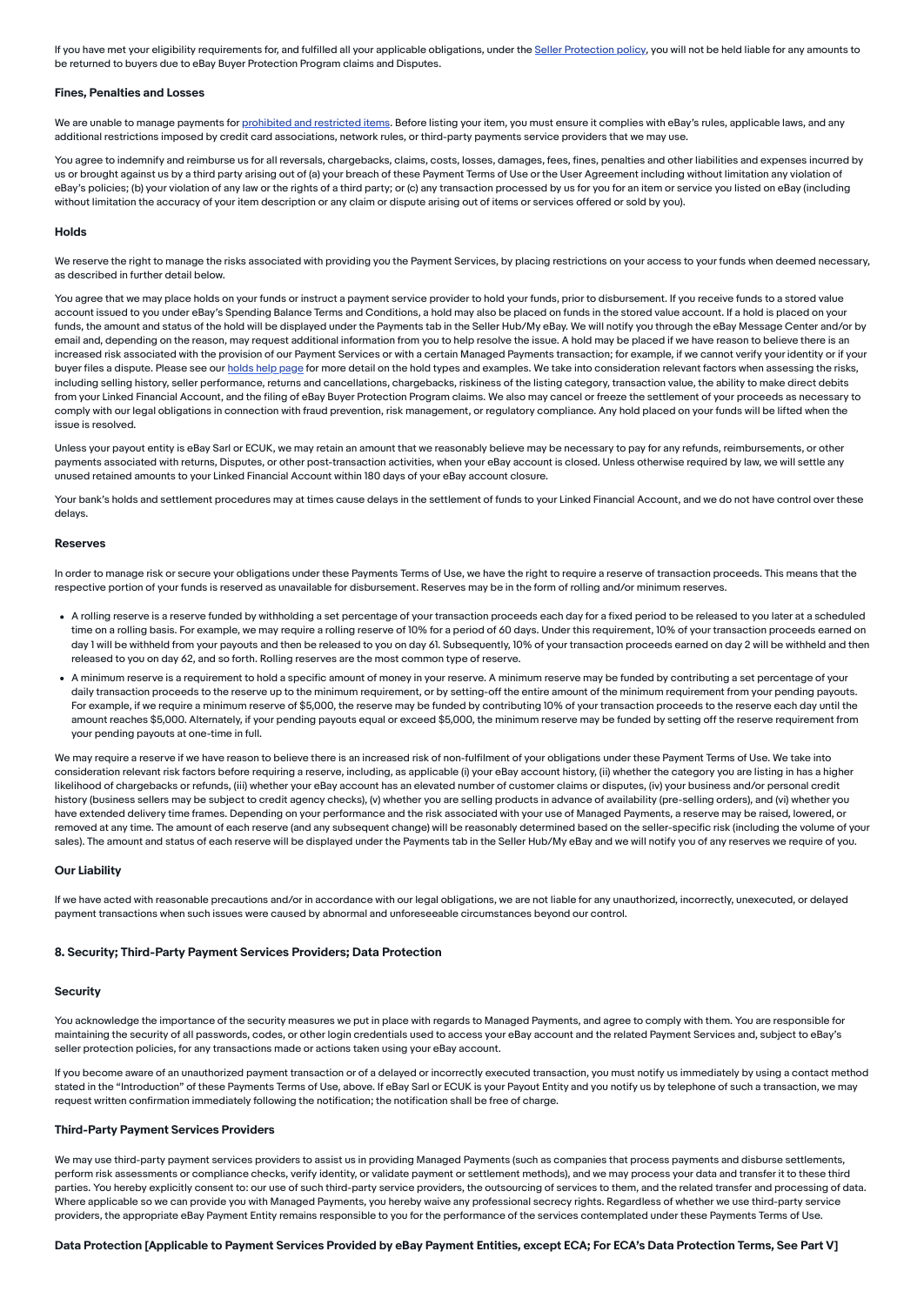If you have met your eligibility requirements for, and fulfilled all your applicable obligations, under the Seller [Protection](https://www.ebay.com/help/policies/selling-policies/seller-protections?id=4345) policy, you will not be held liable for any amounts to be returned to buyers due to eBay Buyer Protection Program claims and Disputes.

#### Fines, Penalties and Losses

We are unable to manage payments for [prohibited](https://www.ebay.com/help/policies/prohibited-restricted-items/prohibited-restricted-items?id=4207) and restricted items. Before listing your item, you must ensure it complies with eBay's rules, applicable laws, and any additional restrictions imposed by credit card associations, network rules, or third-party payments service providers that we may use

You agree to indemnify and reimburse us for all reversals, chargebacks, claims, costs, losses, damages, fees, fines, penalties and other liabilities and expenses incurred by us or brought against us by a third party arising out of (a) your breach of these Payment Terms of Use or the User Agreement including without limitation any violation of eBay's policies; (b) your violation of any law or the rights of a third party; or (c) any transaction processed by us for you for an item or service you listed on eBay (including without limitation the accuracy of your item description or any claim or dispute arising out of items or services offered or sold by you).

#### Holds

We reserve the right to manage the risks associated with providing you the Payment Services, by placing restrictions on your access to your funds when deemed necessary, as described in further detail below.

You agree that we may place holds on your funds or instruct a payment service provider to hold your funds, prior to disbursement. If you receive funds to a stored value account issued to you under eBay's Spending Balance Terms and Conditions, a hold may also be placed on funds in the stored value account. If a hold is placed on your funds, the amount and status of the hold will be displayed under the Payments tab in the Seller Hub/My eBay. We will notify you through the eBay Message Center and/or by email and, depending on the reason, may request additional information from you to help resolve the issue. A hold may be placed if we have reason to believe there is an increased risk associated with the provision of our Payment Services or with a certain Managed Payments transaction; for example, if we cannot verify your identity or if your buyer files a dispute. Please see our [holds](https://www.ebay.com/help/selling/getting-paid/getting-paid-items-youve-sold/pending-payments?id=4816) help page for more detail on the hold types and examples. We take into consideration relevant factors when assessing the risks, including selling history, seller performance, returns and cancellations, chargebacks, riskiness of the listing category, transaction value, the ability to make direct debits from your Linked Financial Account, and the filing of eBay Buyer Protection Program claims. We also may cancel or freeze the settlement of your proceeds as necessary to comply with our legal obligations in connection with fraud prevention, risk management, or regulatory compliance. Any hold placed on your funds will be lifted when the issue is resolved.

Unless your payout entity is eBay Sarl or ECUK, we may retain an amount that we reasonably believe may be necessary to pay for any refunds, reimbursements, or other payments associated with returns, Disputes, or other post-transaction activities, when your eBay account is closed. Unless otherwise required by law, we will settle any unused retained amounts to your Linked Financial Account within 180 days of your eBay account closure.

Your bank's holds and settlement procedures may at times cause delays in the settlement of funds to your Linked Financial Account, and we do not have control over these delays.

#### Reserves

In order to manage risk or secure your obligations under these Payments Terms of Use, we have the right to require a reserve of transaction proceeds. This means that the respective portion of your funds is reserved as unavailable for disbursement. Reserves may be in the form of rolling and/or minimum reserves.

- A rolling reserve is a reserve funded by withholding a set percentage of your transaction proceeds each day for a fixed period to be released to you later at a scheduled time on a rolling basis. For example, we may require a rolling reserve of 10% for a period of 60 days. Under this requirement, 10% of your transaction proceeds earned on day 1 will be withheld from your payouts and then be released to you on day 61. Subsequently, 10% of your transaction proceeds earned on day 2 will be withheld and then released to you on day 62, and so forth. Rolling reserves are the most common type of reserve.
- A minimum reserve is a requirement to hold a specific amount of money in your reserve. A minimum reserve may be funded by contributing a set percentage of your daily transaction proceeds to the reserve up to the minimum requirement, or by setting-off the entire amount of the minimum requirement from your pending payouts. For example, if we require a minimum reserve of \$5,000, the reserve may be funded by contributing 10% of your transaction proceeds to the reserve each day until the amount reaches \$5,000. Alternately, if your pending payouts equal or exceed \$5,000, the minimum reserve may be funded by setting off the reserve requirement from your pending payouts at one-time in full.

We may require a reserve if we have reason to believe there is an increased risk of non-fulfilment of your obligations under these Payment Terms of Use. We take into consideration relevant risk factors before requiring a reserve, including, as applicable (i) your eBay account history, (ii) whether the category you are listing in has a higher likelihood of chargebacks or refunds, (iii) whether your eBay account has an elevated number of customer claims or disputes, (iv) your business and/or personal credit history (business sellers may be subject to credit agency checks), (v) whether you are selling products in advance of availability (pre-selling orders), and (vi) whether you have extended delivery time frames. Depending on your performance and the risk associated with your use of Managed Payments, a reserve may be raised, lowered, or removed at any time. The amount of each reserve (and any subsequent change) will be reasonably determined based on the seller-specific risk (including the volume of your sales). The amount and status of each reserve will be displayed under the Payments tab in the Seller Hub/My eBay and we will notify you of any reserves we require of you.

#### Our Liability

If we have acted with reasonable precautions and/or in accordance with our legal obligations, we are not liable for any unauthorized, incorrectly, unexecuted, or delayed payment transactions when such issues were caused by abnormal and unforeseeable circumstances beyond our control.

### <span id="page-5-0"></span>8. Security; Third-Party Payment Services Providers; Data Protection

### **Security**

You acknowledge the importance of the security measures we put in place with regards to Managed Payments, and agree to comply with them. You are responsible for maintaining the security of all passwords, codes, or other login credentials used to access your eBay account and the related Payment Services and, subject to eBay's seller protection policies, for any transactions made or actions taken using your eBay account.

If you become aware of an unauthorized payment transaction or of a delayed or incorrectly executed transaction, you must notify us immediately by using a contact method stated in the "Introduction" of these Payments Terms of Use, above. If eBay Sarl or ECUK is your Payout Entity and you notify us by telephone of such a transaction, we may request written confirmation immediately following the notification; the notification shall be free of charge.

### Third-Party Payment Services Providers

We may use third-party payment services providers to assist us in providing Managed Payments (such as companies that process payments and disburse settlements, perform risk assessments or compliance checks, verify identity, or validate payment or settlement methods), and we may process your data and transfer it to these third parties. You hereby explicitly consent to: our use of such third-party service providers, the outsourcing of services to them, and the related transfer and processing of data. Where applicable so we can provide you with Managed Payments, you hereby waive any professional secrecy rights. Regardless of whether we use third-party service providers, the appropriate eBay Payment Entity remains responsible to you for the performance of the services contemplated under these Payments Terms of Use.

### Data Protection [Applicable to Payment Services Provided by eBay Payment Entities, except ECA; For ECA's Data Protection Terms, See Part V]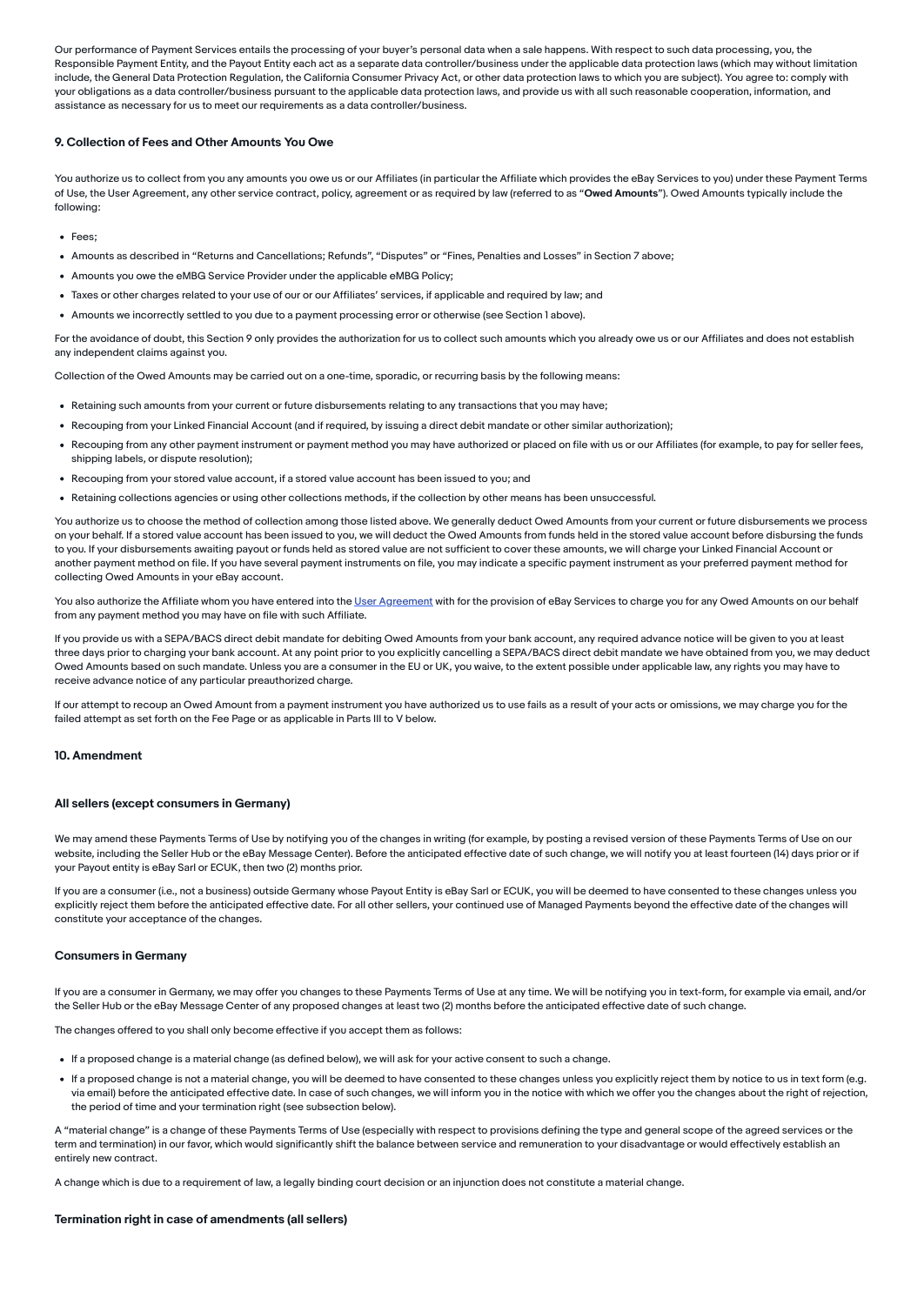Our performance of Payment Services entails the processing of your buyer's personal data when a sale happens. With respect to such data processing, you, the Responsible Payment Entity, and the Payout Entity each act as a separate data controller/business under the applicable data protection laws (which may without limitation include, the General Data Protection Regulation, the California Consumer Privacy Act, or other data protection laws to which you are subject). You agree to: comply with your obligations as a data controller/business pursuant to the applicable data protection laws, and provide us with all such reasonable cooperation, information, and assistance as necessary for us to meet our requirements as a data controller/business.

#### <span id="page-6-0"></span>9. Collection of Fees and Other Amounts You Owe

You authorize us to collect from you any amounts you owe us or our Affiliates (in particular the Affiliate which provides the eBay Services to you) under these Payment Terms of Use, the User Agreement, any other service contract, policy, agreement or as required by law (referred to as "Owed Amounts"). Owed Amounts typically include the following:

- Fees;
- Amounts as described in "Returns and Cancellations; Refunds", "Disputes" or "Fines, Penalties and Losses" in Section 7 above;
- Amounts you owe the eMBG Service Provider under the applicable eMBG Policy;
- Taxes or other charges related to your use of our or our Affiliates' services, if applicable and required by law; and
- Amounts we incorrectly settled to you due to a payment processing error or otherwise (see Section 1 above).

For the avoidance of doubt, this Section 9 only provides the authorization for us to collect such amounts which you already owe us or our Affiliates and does not establish any independent claims against you.

Collection of the Owed Amounts may be carried out on a one-time, sporadic, or recurring basis by the following means:

- Retaining such amounts from your current or future disbursements relating to any transactions that you may have:
- Recouping from your Linked Financial Account (and if required, by issuing a direct debit mandate or other similar authorization);
- Recouping from any other payment instrument or payment method you may have authorized or placed on file with us or our Affiliates (for example, to pay for seller fees, shipping labels, or dispute resolution);
- Recouping from your stored value account, if a stored value account has been issued to you; and
- Retaining collections agencies or using other collections methods, if the collection by other means has been unsuccessful.

You authorize us to choose the method of collection among those listed above. We generally deduct Owed Amounts from your current or future disbursements we process on your behalf. If a stored value account has been issued to you, we will deduct the Owed Amounts from funds held in the stored value account before disbursing the funds to you. If your disbursements awaiting payout or funds held as stored value are not sufficient to cover these amounts, we will charge your Linked Financial Account or another payment method on file. If you have several payment instruments on file, you may indicate a specific payment instrument as your preferred payment method for collecting Owed Amounts in your eBay account.

You also authorize the Affiliate whom you have entered into the User [Agreement](https://www.ebay.com/help/policies/member-behaviour-policies/user-agreement?id=4259) with for the provision of eBay Services to charge you for any Owed Amounts on our behalf from any payment method you may have on file with such Affiliate.

If you provide us with a SEPA/BACS direct debit mandate for debiting Owed Amounts from your bank account, any required advance notice will be given to you at least three days prior to charging your bank account. At any point prior to you explicitly cancelling a SEPA/BACS direct debit mandate we have obtained from you, we may deduct Owed Amounts based on such mandate. Unless you are a consumer in the EU or UK, you waive, to the extent possible under applicable law, any rights you may have to receive advance notice of any particular preauthorized charge.

If our attempt to recoup an Owed Amount from a payment instrument you have authorized us to use fails as a result of your acts or omissions, we may charge you for the failed attempt as set forth on the Fee Page or as applicable in Parts III to V below.

#### <span id="page-6-1"></span>10. Amendment

#### All sellers (except consumers in Germany)

We may amend these Payments Terms of Use by notifying you of the changes in writing (for example, by posting a revised version of these Payments Terms of Use on our website, including the Seller Hub or the eBay Message Center). Before the anticipated effective date of such change, we will notify you at least fourteen (14) days prior or if your Payout entity is eBay Sarl or ECUK, then two (2) months prior.

If you are a consumer (i.e., not a business) outside Germany whose Payout Entity is eBay Sarl or ECUK, you will be deemed to have consented to these changes unless you explicitly reject them before the anticipated effective date. For all other sellers, your continued use of Managed Payments beyond the effective date of the changes will constitute your acceptance of the changes.

#### Consumers in Germany

If you are a consumer in Germany, we may offer you changes to these Payments Terms of Use at any time. We will be notifying you in text-form, for example via email, and/or the Seller Hub or the eBay Message Center of any proposed changes at least two (2) months before the anticipated effective date of such change.

The changes offered to you shall only become effective if you accept them as follows:

- If a proposed change is a material change (as defined below), we will ask for your active consent to such a change.
- If a proposed change is not a material change, you will be deemed to have consented to these changes unless you explicitly reject them by notice to us in text form (e.g. via email) before the anticipated effective date. In case of such changes, we will inform you in the notice with which we offer you the changes about the right of rejection, the period of time and your termination right (see subsection below).

A "material change" is a change of these Payments Terms of Use (especially with respect to provisions defining the type and general scope of the agreed services or the term and termination) in our favor, which would significantly shift the balance between service and remuneration to your disadvantage or would effectively establish an entirely new contract.

A change which is due to a requirement of law, a legally binding court decision or an injunction does not constitute a material change.

#### Termination right in case of amendments (all sellers)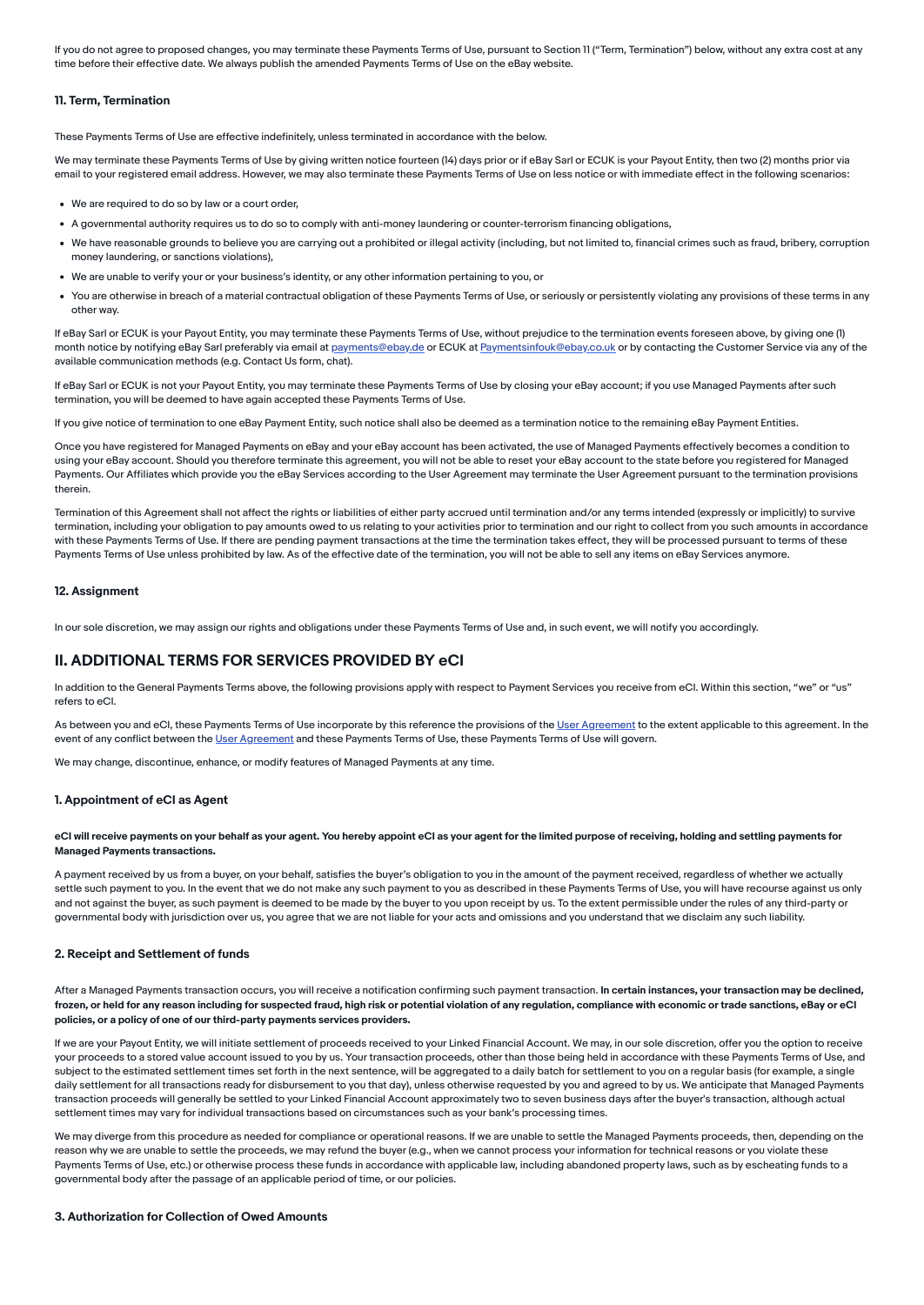If you do not agree to proposed changes, you may terminate these Payments Terms of Use, pursuant to Section 11 ("Term, Termination") below, without any extra cost at any time before their effective date. We always publish the amended Payments Terms of Use on the eBay website.

#### <span id="page-7-0"></span>11. Term, Termination

These Payments Terms of Use are effective indefinitely, unless terminated in accordance with the below.

We may terminate these Payments Terms of Use by giving written notice fourteen (14) days prior or if eBay Sarl or ECUK is your Payout Entity, then two (2) months prior via email to your registered email address. However, we may also terminate these Payments Terms of Use on less notice or with immediate effect in the following scenarios:

- We are required to do so by law or a court order,
- A governmental authority requires us to do so to comply with anti-money laundering or counter-terrorism financing obligations,
- We have reasonable grounds to believe you are carrying out a prohibited or illegal activity (including, but not limited to, financial crimes such as fraud, bribery, corruption money laundering, or sanctions violations),
- We are unable to verify your or your business's identity, or any other information pertaining to you, or
- You are otherwise in breach of a material contractual obligation of these Payments Terms of Use, or seriously or persistently violating any provisions of these terms in any other way.

If eBay Sarl or ECUK is your Payout Entity, you may terminate these Payments Terms of Use, without prejudice to the termination events foreseen above, by giving one (I) month notice by notifying eBay Sarl preferably via email at [payments@ebay.de](mailto:payments@ebay.de) or ECUK at [Paymentsinfouk@ebay.co.uk](mailto:Paymentsinfouk@ebay.co.uk) or by contacting the Customer Service via any of the available communication methods (e.g. Contact Us form, chat).

If eBay Sarl or ECUK is not your Payout Entity, you may terminate these Payments Terms of Use by closing your eBay account; if you use Managed Payments after such termination, you will be deemed to have again accepted these Payments Terms of Use.

If you give notice of termination to one eBay Payment Entity, such notice shall also be deemed as a termination notice to the remaining eBay Payment Entities.

Once you have registered for Managed Payments on eBay and your eBay account has been activated, the use of Managed Payments effectively becomes a condition to using your eBay account. Should you therefore terminate this agreement, you will not be able to reset your eBay account to the state before you registered for Managed Payments. Our Affiliates which provide you the eBay Services according to the User Agreement may terminate the User Agreement pursuant to the termination provisions therein.

Termination of this Agreement shall not affect the rights or liabilities of either party accrued until termination and/or any terms intended (expressly or implicitly) to survive termination, including your obligation to pay amounts owed to us relating to your activities prior to termination and our right to collect from you such amounts in accordance with these Payments Terms of Use. If there are pending payment transactions at the time the termination takes effect, they will be processed pursuant to terms of these Payments Terms of Use unless prohibited by law. As of the effective date of the termination, you will not be able to sell any items on eBay Services anymore.

#### <span id="page-7-1"></span>12. Assignment

In our sole discretion, we may assign our rights and obligations under these Payments Terms of Use and, in such event, we will notify you accordingly.

### <span id="page-7-2"></span>II. ADDITIONAL TERMS FOR SERVICES PROVIDED BY eCI

In addition to the General Payments Terms above, the following provisions apply with respect to Payment Services you receive from eCI. Within this section, "we" or "us" refers to eCI.

As between you and eCI, these Payments Terms of Use incorporate by this reference the provisions of the User [Agreement](https://www.ebay.com/help/policies/member-behaviour-policies/user-agreement?id=4259) to the extent applicable to this agreement. In the event of any conflict between the User [Agreement](https://www.ebay.com/help/policies/member-behaviour-policies/user-agreement?id=4259) and these Payments Terms of Use, these Payments Terms of Use will govern.

We may change, discontinue, enhance, or modify features of Managed Payments at any time.

#### 1. Appointment of eCI as Agent

#### eCI will receive payments on your behalf as your agent. You hereby appoint eCI as your agent for the limited purpose of receiving, holding and settling payments for Managed Payments transactions.

A payment received by us from a buyer, on your behalf, satisfies the buyer's obligation to you in the amount of the payment received, regardless of whether we actually settle such payment to you. In the event that we do not make any such payment to you as described in these Payments Terms of Use, you will have recourse against us only and not against the buyer, as such payment is deemed to be made by the buyer to you upon receipt by us. To the extent permissible under the rules of any third-party or governmental body with jurisdiction over us, you agree that we are not liable for your acts and omissions and you understand that we disclaim any such liability.

#### 2. Receipt and Settlement of funds

After a Managed Payments transaction occurs, you will receive a notification confirming such payment transaction. In certain instances, your transaction may be declined, frozen, or held for any reason including for suspected fraud, high risk or potential violation of any regulation, compliance with economic or trade sanctions, eBay or eCI policies, or a policy of one of our third-party payments services providers.

If we are your Payout Entity, we will initiate settlement of proceeds received to your Linked Financial Account. We may, in our sole discretion, offer you the option to receive your proceeds to a stored value account issued to you by us. Your transaction proceeds, other than those being held in accordance with these Payments Terms of Use, and subject to the estimated settlement times set forth in the next sentence, will be aggregated to a daily batch for settlement to you on a regular basis (for example, a single daily settlement for all transactions ready for disbursement to you that day), unless otherwise requested by you and agreed to by us. We anticipate that Managed Payments transaction proceeds will generally be settled to your Linked Financial Account approximately two to seven business days after the buyer's transaction, although actual settlement times may vary for individual transactions based on circumstances such as your bank's processing times

We may diverge from this procedure as needed for compliance or operational reasons. If we are unable to settle the Managed Payments proceeds, then, depending on the reason why we are unable to settle the proceeds, we may refund the buyer (e.g., when we cannot process your information for technical reasons or you violate these Payments Terms of Use, etc.) or otherwise process these funds in accordance with applicable law, including abandoned property laws, such as by escheating funds to a governmental body after the passage of an applicable period of time, or our policies.

#### 3. Authorization for Collection of Owed Amounts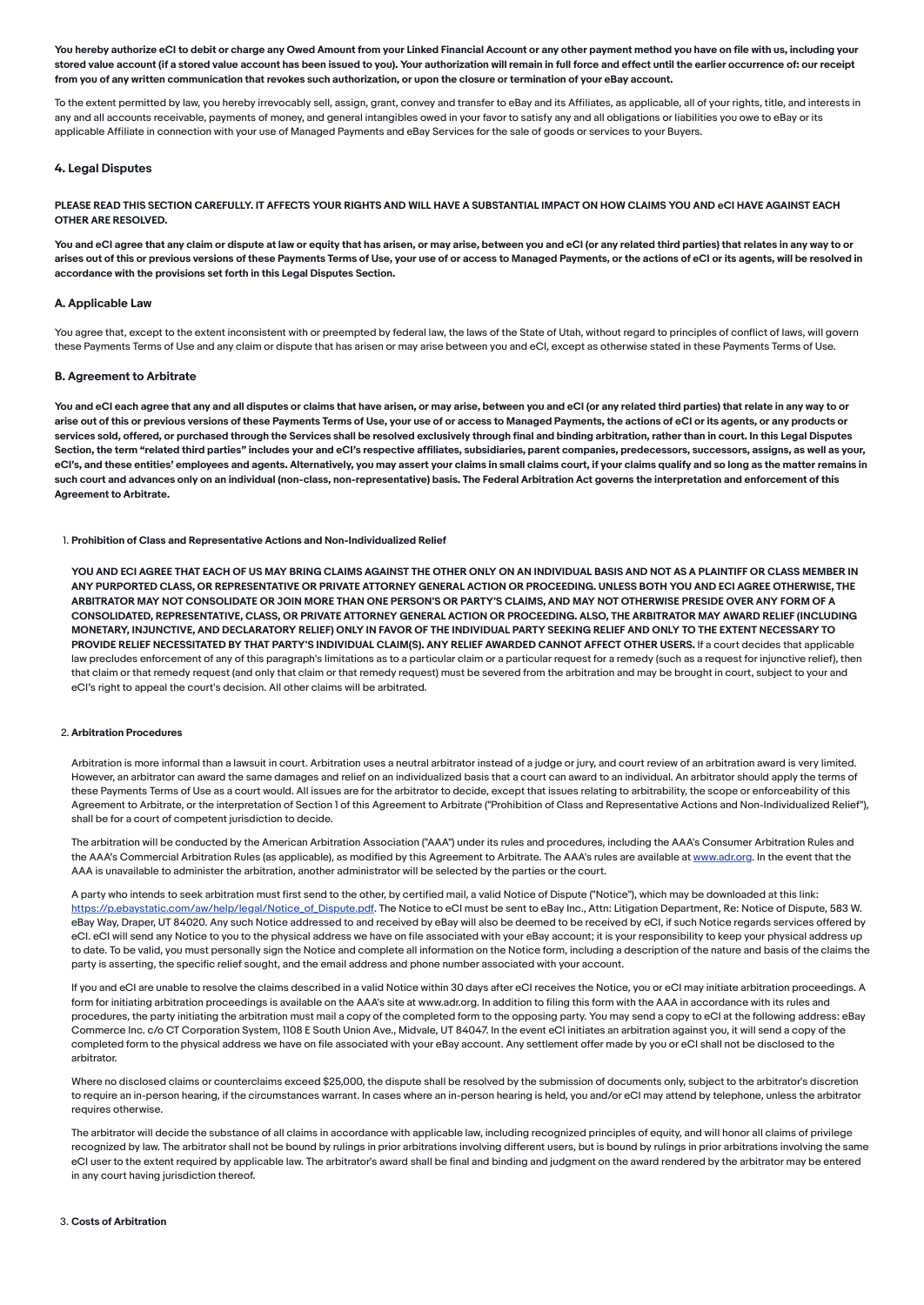You hereby authorize eCI to debit or charge any Owed Amount from your Linked Financial Account or any other payment method you have on file with us, including your stored value account (if a stored value account has been issued to you). Your authorization will remain in full force and effect until the earlier occurrence of: our receipt from you of any written communication that revokes such authorization, or upon the closure or termination of your eBay account.

To the extent permitted by law, you hereby irrevocably sell, assign, grant, convey and transfer to eBay and its Affiliates, as applicable, all of your rights, title, and interests in any and all accounts receivable, payments of money, and general intangibles owed in your favor to satisfy any and all obligations or liabilities you owe to eBay or its applicable Affiliate in connection with your use of Managed Payments and eBay Services for the sale of goods or services to your Buyers.

#### 4. Legal Disputes

PLEASE READ THIS SECTION CAREFULLY. IT AFFECTS YOUR RIGHTS AND WILL HAVE A SUBSTANTIAL IMPACT ON HOW CLAIMS YOU AND eCI HAVE AGAINST EACH OTHER ARE RESOLVED.

You and eCI agree that any claim or dispute at law or equity that has arisen, or may arise, between you and eCI (or any related third parties) that relates in any way to or arises out of this or previous versions of these Payments Terms of Use, your use of or access to Managed Payments, or the actions of eCI or its agents, will be resolved in accordance with the provisions set forth in this Legal Disputes Section.

#### A. Applicable Law

You agree that, except to the extent inconsistent with or preempted by federal law, the laws of the State of Utah, without regard to principles of conflict of laws, will govern these Payments Terms of Use and any claim or dispute that has arisen or may arise between you and eCI, except as otherwise stated in these Payments Terms of Use.

#### B. Agreement to Arbitrate

You and eCI each agree that any and all disputes or claims that have arisen, or may arise, between you and eCI (or any related third parties) that relate in any way to or arise out of this or previous versions of these Payments Terms of Use, your use of or access to Managed Payments, the actions of eCI or its agents, or any products or services sold, offered, or purchased through the Services shall be resolved exclusively through final and binding arbitration, rather than in court. In this Legal Disputes Section, the term "related third parties" includes your and eCI's respective affiliates, subsidiaries, parent companies, predecessors, successors, assigns, as well as your, eCI's, and these entities' employees and agents. Alternatively, you may assert your claims in small claims court, if your claims qualify and so long as the matter remains in such court and advances only on an individual (non-class, non-representative) basis. The Federal Arbitration Act governs the interpretation and enforcement of this Agreement to Arbitrate.

1. Prohibition of Class and Representative Actions and Non-Individualized Relief

YOU AND ECI AGREE THAT EACH OF US MAY BRING CLAIMS AGAINST THE OTHER ONLY ON AN INDIVIDUAL BASIS AND NOT AS A PLAINTIFF OR CLASS MEMBER IN ANY PURPORTED CLASS, OR REPRESENTATIVE OR PRIVATE ATTORNEY GENERAL ACTION OR PROCEEDING. UNLESS BOTH YOU AND ECI AGREE OTHERWISE, THE ARBITRATOR MAY NOT CONSOLIDATE OR JOIN MORE THAN ONE PERSON'S OR PARTY'S CLAIMS, AND MAY NOT OTHERWISE PRESIDE OVER ANY FORM OF A CONSOLIDATED, REPRESENTATIVE, CLASS, OR PRIVATE ATTORNEY GENERAL ACTION OR PROCEEDING. ALSO, THE ARBITRATOR MAY AWARD RELIEF (INCLUDING MONETARY, INJUNCTIVE, AND DECLARATORY RELIEF) ONLY IN FAVOR OF THE INDIVIDUAL PARTY SEEKING RELIEF AND ONLY TO THE EXTENT NECESSARY TO PROVIDE RELIEF NECESSITATED BY THAT PARTY'S INDIVIDUAL CLAIM(S). ANY RELIEF AWARDED CANNOT AFFECT OTHER USERS. If a court decides that applicable law precludes enforcement of any of this paragraph's limitations as to a particular claim or a particular request for a remedy (such as a request for injunctive relief), then that claim or that remedy request (and only that claim or that remedy request) must be severed from the arbitration and may be brought in court, subject to your and eCI's right to appeal the court's decision. All other claims will be arbitrated.

#### 2. Arbitration Procedures

Arbitration is more informal than a lawsuit in court. Arbitration uses a neutral arbitrator instead of a judge or jury, and court review of an arbitration award is very limited. However, an arbitrator can award the same damages and relief on an individualized basis that a court can award to an individual. An arbitrator should apply the terms of these Payments Terms of Use as a court would. All issues are for the arbitrator to decide, except that issues relating to arbitrability, the scope or enforceability of this Agreement to Arbitrate, or the interpretation of Section 1 of this Agreement to Arbitrate ("Prohibition of Class and Representative Actions and Non-Individualized Relief"), shall be for a court of competent jurisdiction to decide.

The arbitration will be conducted by the American Arbitration Association ("AAA") under its rules and procedures, including the AAA's Consumer Arbitration Rules and the AAA's Commercial Arbitration Rules (as applicable), as modified by this Agreement to Arbitrate. The AAA's rules are available at [www.adr.org.](https://www.adr.org/) In the event that the AAA is unavailable to administer the arbitration, another administrator will be selected by the parties or the court.

A party who intends to seek arbitration must first send to the other, by certified mail, a valid Notice of Dispute ("Notice"), which may be downloaded at this link: [https://p.ebaystatic.com/aw/help/legal/Notice\\_of\\_Dispute.pdf](https://p.ebaystatic.com/aw/help/legal/Notice_of_Dispute.pdf). The Notice to eCI must be sent to eBay Inc., Attn: Litigation Department, Re: Notice of Dispute, 583 W. eBay Way, Draper, UT 84020. Any such Notice addressed to and received by eBay will also be deemed to be received by eCI, if such Notice regards services offered by eCI. eCI will send any Notice to you to the physical address we have on file associated with your eBay account; it is your responsibility to keep your physical address up to date. To be valid, you must personally sign the Notice and complete all information on the Notice form, including a description of the nature and basis of the claims the party is asserting, the specific relief sought, and the email address and phone number associated with your account.

If you and eCI are unable to resolve the claims described in a valid Notice within 30 days after eCI receives the Notice, you or eCI may initiate arbitration proceedings. A form for initiating arbitration proceedings is available on the AAA's site at www.adr.org. In addition to filing this form with the AAA in accordance with its rules and procedures, the party initiating the arbitration must mail a copy of the completed form to the opposing party. You may send a copy to eCI at the following address: eBay Commerce Inc. c/o CT Corporation System, 1108 E South Union Ave., Midvale, UT 84047. In the event eCI initiates an arbitration against you, it will send a copy of the completed form to the physical address we have on file associated with your eBay account. Any settlement offer made by you or eCI shall not be disclosed to the arbitrator.

Where no disclosed claims or counterclaims exceed \$25,000, the dispute shall be resolved by the submission of documents only, subject to the arbitrator's discretion to require an in-person hearing, if the circumstances warrant. In cases where an in-person hearing is held, you and/or eCI may attend by telephone, unless the arbitrator requires otherwise.

The arbitrator will decide the substance of all claims in accordance with applicable law, including recognized principles of equity, and will honor all claims of privilege recognized by law. The arbitrator shall not be bound by rulings in prior arbitrations involving different users, but is bound by rulings in prior arbitrations involving the same eCI user to the extent required by applicable law. The arbitrator's award shall be final and binding and judgment on the award rendered by the arbitrator may be entered in any court having jurisdiction thereof.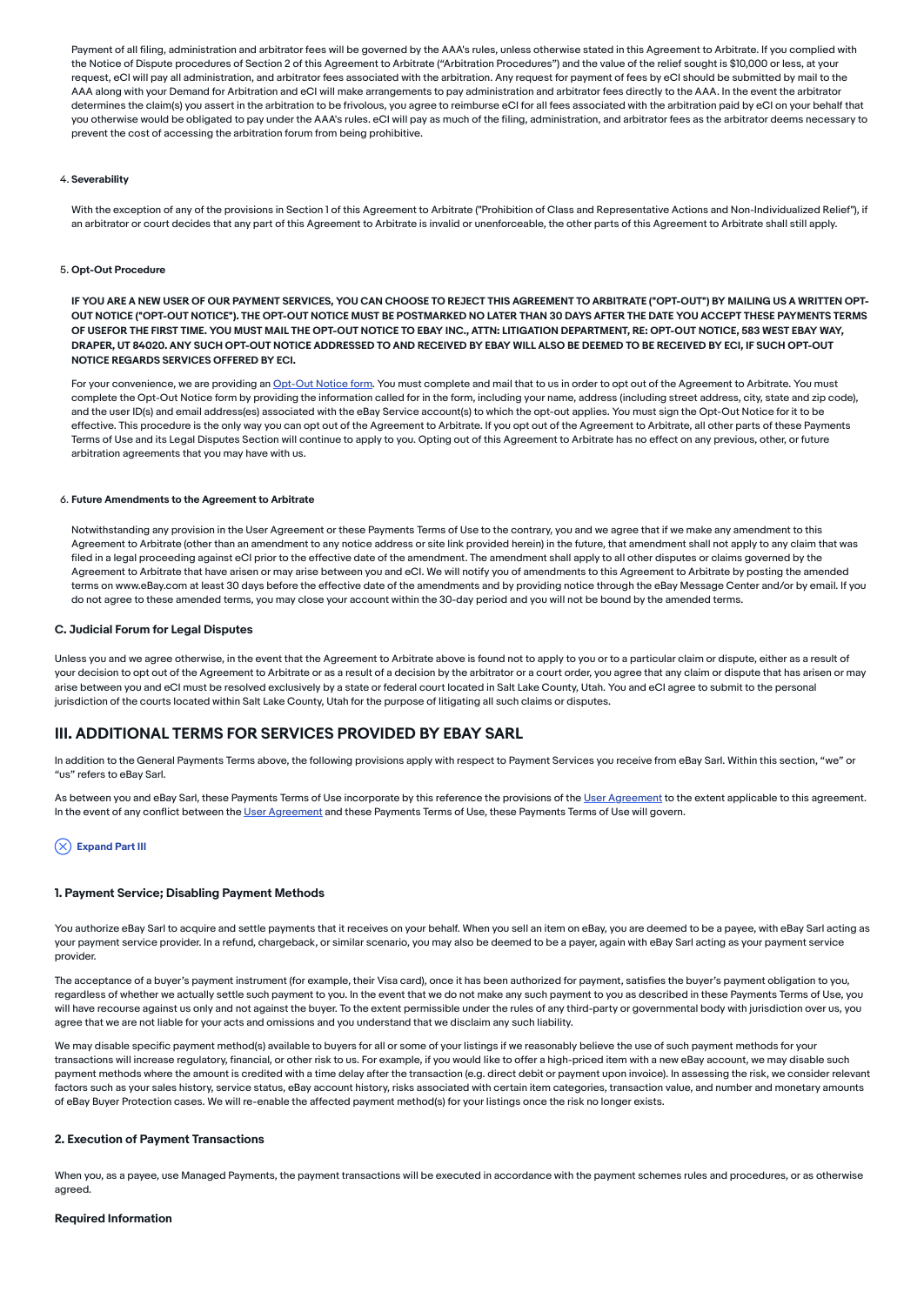Payment of all filing, administration and arbitrator fees will be governed by the AAA's rules, unless otherwise stated in this Agreement to Arbitrate. If you complied with the Notice of Dispute procedures of Section 2 of this Agreement to Arbitrate ("Arbitration Procedures") and the value of the relief sought is \$10,000 or less, at your request, eCI will pay all administration, and arbitrator fees associated with the arbitration. Any request for payment of fees by eCI should be submitted by mail to the AAA along with your Demand for Arbitration and eCI will make arrangements to pay administration and arbitrator fees directly to the AAA. In the event the arbitrator determines the claim(s) you assert in the arbitration to be frivolous, you agree to reimburse eCI for all fees associated with the arbitration paid by eCI on your behalf that you otherwise would be obligated to pay under the AAA's rules. eCI will pay as much of the filing, administration, and arbitrator fees as the arbitrator deems necessary to prevent the cost of accessing the arbitration forum from being prohibitive.

#### 4. Severability

With the exception of any of the provisions in Section 1 of this Agreement to Arbitrate ("Prohibition of Class and Representative Actions and Non-Individualized Relief"), if an arbitrator or court decides that any part of this Agreement to Arbitrate is invalid or unenforceable, the other parts of this Agreement to Arbitrate shall still apply.

#### 5. Opt-Out Procedure

IF YOU ARE A NEW USER OF OUR PAYMENT SERVICES, YOU CAN CHOOSE TO REJECT THIS AGREEMENT TO ARBITRATE ("OPT-OUT") BY MAILING US A WRITTEN OPT-OUT NOTICE ("OPT-OUT NOTICE"). THE OPT-OUT NOTICE MUST BE POSTMARKED NO LATER THAN 30 DAYS AFTER THE DATE YOU ACCEPT THESE PAYMENTS TERMS OF USEFOR THE FIRST TIME. YOU MUST MAIL THE OPT-OUT NOTICE TO EBAY INC., ATTN: LITIGATION DEPARTMENT, RE: OPT-OUT NOTICE, 583 WEST EBAY WAY, DRAPER, UT 84020. ANY SUCH OPT-OUT NOTICE ADDRESSED TO AND RECEIVED BY EBAY WILL ALSO BE DEEMED TO BE RECEIVED BY ECI, IF SUCH OPT-OUT NOTICE REGARDS SERVICES OFFERED BY ECI.

For your convenience, we are providing an [Opt-Out](https://pages.ebay.com/policies/arbitrate-optout.html) Notice form. You must complete and mail that to us in order to opt out of the Agreement to Arbitrate. You must complete the Opt-Out Notice form by providing the information called for in the form, including your name, address (including street address, city, state and zip code), and the user ID(s) and email address(es) associated with the eBay Service account(s) to which the opt-out applies. You must sign the Opt-Out Notice for it to be effective. This procedure is the only way you can opt out of the Agreement to Arbitrate. If you opt out of the Agreement to Arbitrate, all other parts of these Payments Terms of Use and its Legal Disputes Section will continue to apply to you. Opting out of this Agreement to Arbitrate has no effect on any previous, other, or future arbitration agreements that you may have with us.

#### 6. Future Amendments to the Agreement to Arbitrate

Notwithstanding any provision in the User Agreement or these Payments Terms of Use to the contrary, you and we agree that if we make any amendment to this Agreement to Arbitrate (other than an amendment to any notice address or site link provided herein) in the future, that amendment shall not apply to any claim that was filed in a legal proceeding against eCI prior to the effective date of the amendment. The amendment shall apply to all other disputes or claims governed by the Agreement to Arbitrate that have arisen or may arise between you and eCI. We will notify you of amendments to this Agreement to Arbitrate by posting the amended terms on www.eBay.com at least 30 days before the effective date of the amendments and by providing notice through the eBay Message Center and/or by email. If you do not agree to these amended terms, you may close your account within the 30-day period and you will not be bound by the amended terms.

#### C. Judicial Forum for Legal Disputes

Unless you and we agree otherwise, in the event that the Agreement to Arbitrate above is found not to apply to you or to a particular claim or dispute, either as a result of your decision to opt out of the Agreement to Arbitrate or as a result of a decision by the arbitrator or a court order, you agree that any claim or dispute that has arisen or may arise between you and eCI must be resolved exclusively by a state or federal court located in Salt Lake County, Utah. You and eCI agree to submit to the personal jurisdiction of the courts located within Salt Lake County, Utah for the purpose of litigating all such claims or disputes.

### <span id="page-9-0"></span>III. ADDITIONAL TERMS FOR SERVICES PROVIDED BY EBAY SARL

In addition to the General Payments Terms above, the following provisions apply with respect to Payment Services you receive from eBay Sarl. Within this section, "we" or "us" refers to eBay Sarl.

As between you and eBay Sarl, these Payments Terms of Use incorporate by this reference the provisions of the User [Agreement](https://www.ebay.co.uk/help/policies/member-behaviour-policies/user-agreement?id=4259) to the extent applicable to this agreement. In the event of any conflict between the User [Agreement](https://www.ebay.co.uk/help/policies/member-behaviour-policies/user-agreement?id=4259) and these Payments Terms of Use, these Payments Terms of Use will govern.

#### $(\times)$  Expand Part III

#### 1. Payment Service; Disabling Payment Methods

You authorize eBay Sarl to acquire and settle payments that it receives on your behalf. When you sell an item on eBay, you are deemed to be a payee, with eBay Sarl acting as your payment service provider. In a refund, chargeback, or similar scenario, you may also be deemed to be a payer, again with eBay Sarl acting as your payment service provider.

The acceptance of a buyer's payment instrument (for example, their Visa card), once it has been authorized for payment, satisfies the buyer's payment obligation to you, regardless of whether we actually settle such payment to you. In the event that we do not make any such payment to you as described in these Payments Terms of Use, you will have recourse against us only and not against the buyer. To the extent permissible under the rules of any third-party or governmental body with jurisdiction over us, you agree that we are not liable for your acts and omissions and you understand that we disclaim any such liability.

We may disable specific payment method(s) available to buyers for all or some of your listings if we reasonably believe the use of such payment methods for your transactions will increase regulatory, financial, or other risk to us. For example, if you would like to offer a high-priced item with a new eBay account, we may disable such payment methods where the amount is credited with a time delay after the transaction (e.g. direct debit or payment upon invoice). In assessing the risk, we consider relevant factors such as your sales history, service status, eBay account history, risks associated with certain item categories, transaction value, and number and monetary amounts of eBay Buyer Protection cases. We will re-enable the affected payment method(s) for your listings once the risk no longer exists.

#### 2. Execution of Payment Transactions

When you, as a payee, use Managed Payments, the payment transactions will be executed in accordance with the payment schemes rules and procedures, or as otherwise agreed.

#### Required Information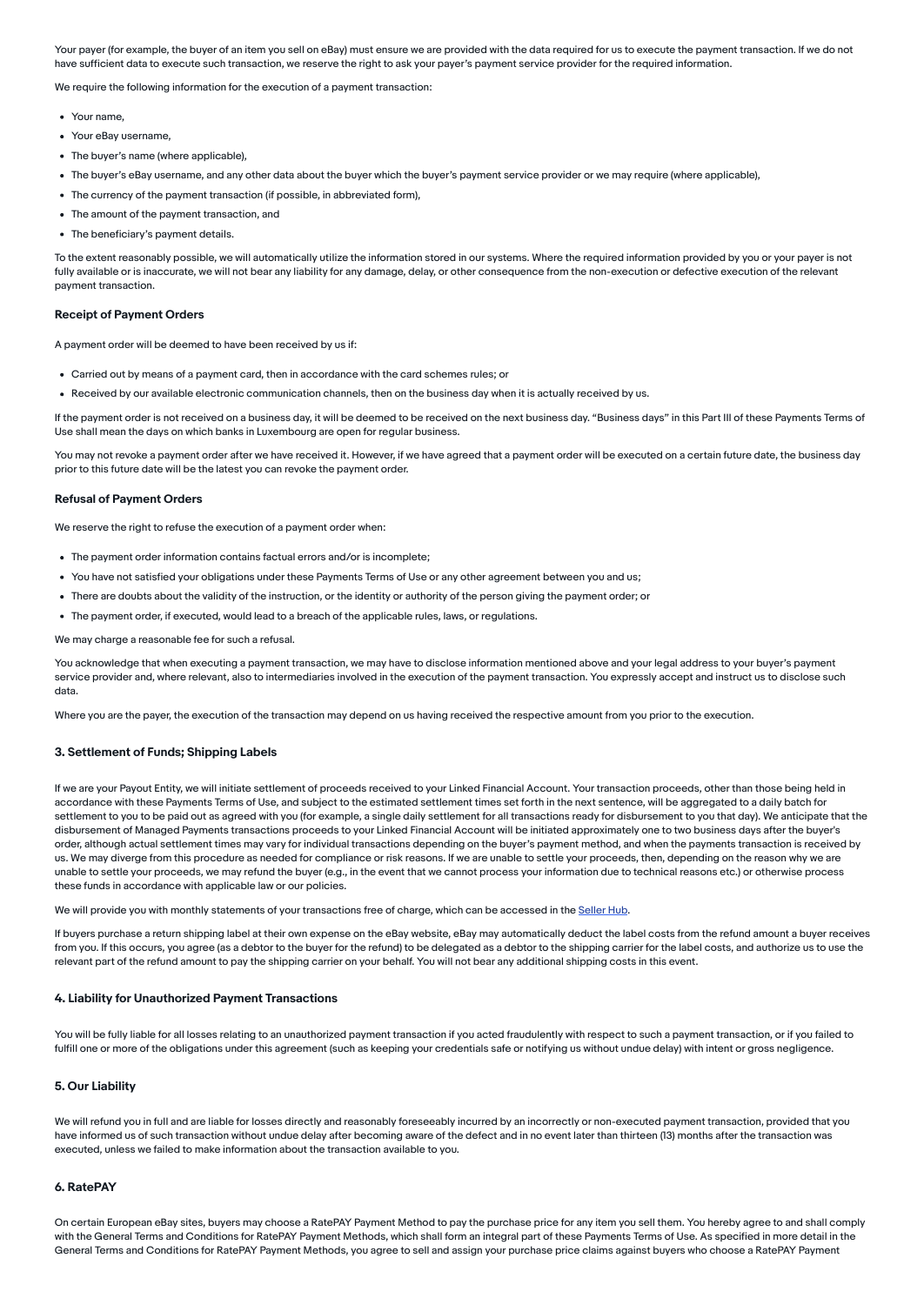Your payer (for example, the buyer of an item you sell on eBay) must ensure we are provided with the data required for us to execute the payment transaction. If we do not have sufficient data to execute such transaction, we reserve the right to ask your payer's payment service provider for the required information.

We require the following information for the execution of a payment transaction:

- Your name,
- Your eBay username,
- The buyer's name (where applicable).
- The buyer's eBay username, and any other data about the buyer which the buyer's payment service provider or we may require (where applicable),
- The currency of the payment transaction (if possible, in abbreviated form),
- The amount of the payment transaction, and
- The beneficiary's payment details.

To the extent reasonably possible, we will automatically utilize the information stored in our systems. Where the required information provided by you or your payer is not fully available or is inaccurate, we will not bear any liability for any damage, delay, or other consequence from the non-execution or defective execution of the relevant payment transaction.

#### Receipt of Payment Orders

A payment order will be deemed to have been received by us if:

- Carried out by means of a payment card, then in accordance with the card schemes rules; or
- Received by our available electronic communication channels, then on the business day when it is actually received by us.

If the payment order is not received on a business day, it will be deemed to be received on the next business day. "Business days" in this Part III of these Payments Terms of Use shall mean the days on which banks in Luxembourg are open for regular business.

You may not revoke a payment order after we have received it. However, if we have agreed that a payment order will be executed on a certain future date, the business day prior to this future date will be the latest you can revoke the payment order.

#### Refusal of Payment Orders

We reserve the right to refuse the execution of a payment order when:

- The payment order information contains factual errors and/or is incomplete;
- You have not satisfied your obligations under these Payments Terms of Use or any other agreement between you and us;
- There are doubts about the validity of the instruction, or the identity or authority of the person giving the payment order; or
- The payment order, if executed, would lead to a breach of the applicable rules, laws, or regulations.

We may charge a reasonable fee for such a refusal.

You acknowledge that when executing a payment transaction, we may have to disclose information mentioned above and your legal address to your buyer's payment service provider and, where relevant, also to intermediaries involved in the execution of the payment transaction. You expressly accept and instruct us to disclose such data.

Where you are the payer, the execution of the transaction may depend on us having received the respective amount from you prior to the execution.

#### 3. Settlement of Funds; Shipping Labels

If we are your Payout Entity, we will initiate settlement of proceeds received to your Linked Financial Account. Your transaction proceeds, other than those being held in accordance with these Payments Terms of Use, and subject to the estimated settlement times set forth in the next sentence, will be aggregated to a daily batch for settlement to you to be paid out as agreed with you (for example, a single daily settlement for all transactions ready for disbursement to you that day). We anticipate that the disbursement of Managed Payments transactions proceeds to your Linked Financial Account will be initiated approximately one to two business days after the buyer's order, although actual settlement times may vary for individual transactions depending on the buyer's payment method, and when the payments transaction is received by us. We may diverge from this procedure as needed for compliance or risk reasons. If we are unable to settle your proceeds, then, depending on the reason why we are unable to settle your proceeds, we may refund the buyer (e.g., in the event that we cannot process your information due to technical reasons etc.) or otherwise process these funds in accordance with applicable law or our policies.

We will provide you with monthly statements of your transactions free of charge, which can be accessed in the [Seller](https://www.ebay.co.uk/sh/landing) Hub.

If buyers purchase a return shipping label at their own expense on the eBay website, eBay may automatically deduct the label costs from the refund amount a buyer receives from you. If this occurs, you agree (as a debtor to the buyer for the refund) to be delegated as a debtor to the shipping carrier for the label costs, and authorize us to use the relevant part of the refund amount to pay the shipping carrier on your behalf. You will not bear any additional shipping costs in this event.

#### 4. Liability for Unauthorized Payment Transactions

You will be fully liable for all losses relating to an unauthorized payment transaction if you acted fraudulently with respect to such a payment transaction, or if you failed to fulfill one or more of the obligations under this agreement (such as keeping your credentials safe or notifying us without undue delay) with intent or gross negligence.

#### 5. Our Liability

We will refund you in full and are liable for losses directly and reasonably foreseeably incurred by an incorrectly or non-executed payment transaction, provided that you have informed us of such transaction without undue delay after becoming aware of the defect and in no event later than thirteen (13) months after the transaction was executed, unless we failed to make information about the transaction available to you.

#### 6. RatePAY

On certain European eBay sites, buyers may choose a RatePAY Payment Method to pay the purchase price for any item you sell them. You hereby agree to and shall comply with the General Terms and Conditions for RatePAY Payment Methods, which shall form an integral part of these Payments Terms of Use. As specified in more detail in the General Terms and Conditions for RatePAY Payment Methods, you agree to sell and assign your purchase price claims against buyers who choose a RatePAY Payment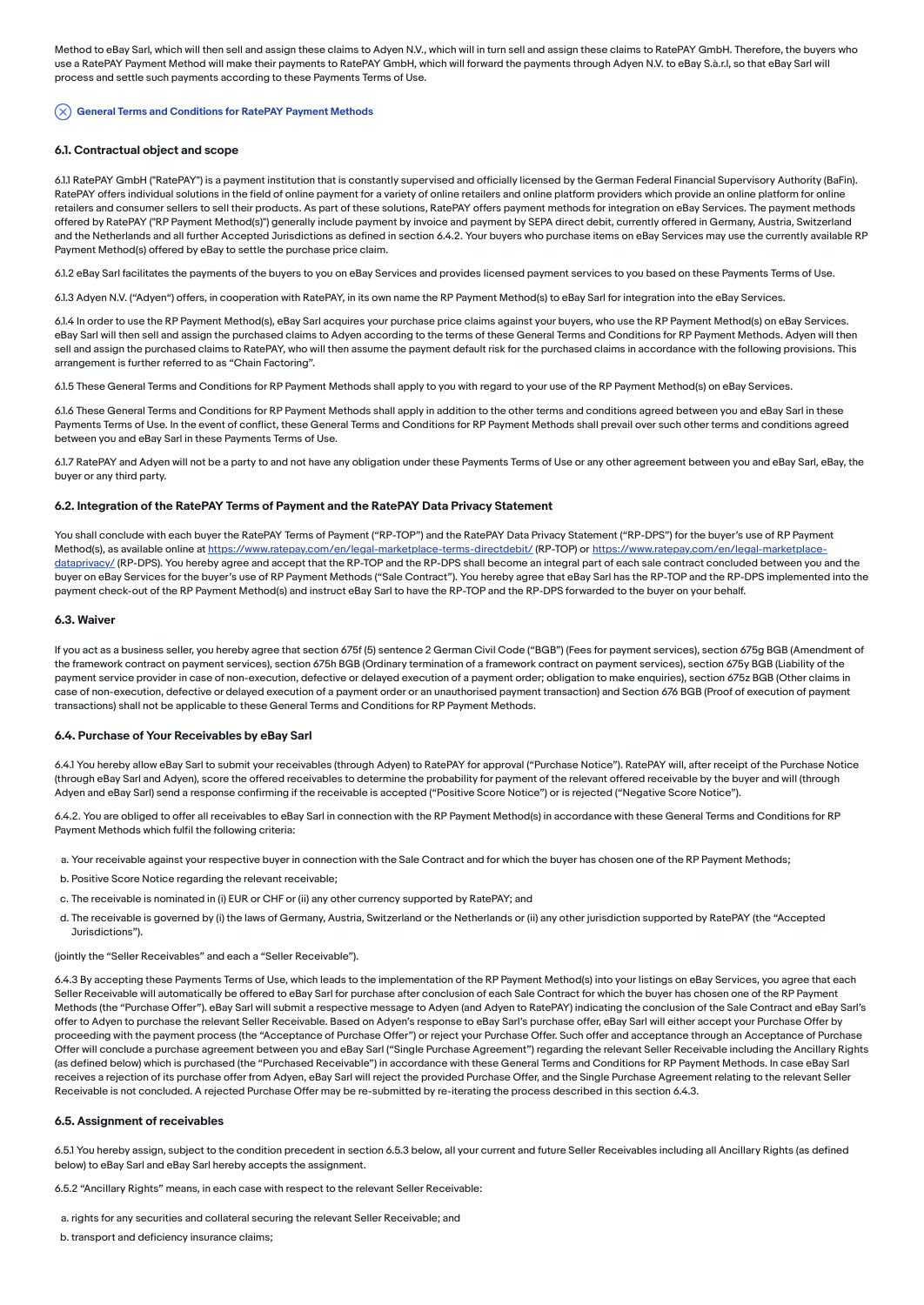Method to eBay Sarl, which will then sell and assign these claims to Adyen N.V., which will in turn sell and assign these claims to RatePAY GmbH. Therefore, the buyers who use a RatePAY Payment Method will make their payments to RatePAY GmbH, which will forward the payments through Adyen N.V. to eBay S.à.r.l, so that eBay Sarl will process and settle such payments according to these Payments Terms of Use.

#### $(\times)$  General Terms and Conditions for RatePAY Payment Methods

#### 6.1. Contractual object and scope

6.1.1 RatePAY GmbH ("RatePAY") is a payment institution that is constantly supervised and officially licensed by the German Federal Financial Supervisory Authority (BaFin). RatePAY offers individual solutions in the field of online payment for a variety of online retailers and online platform providers which provide an online platform for online retailers and consumer sellers to sell their products. As part of these solutions, RatePAY offers payment methods for integration on eBay Services. The payment methods offered by RatePAY ("RP Payment Method(s)") generally include payment by invoice and payment by SEPA direct debit, currently offered in Germany, Austria, Switzerland and the Netherlands and all further Accepted Jurisdictions as defined in section 6.4.2. Your buyers who purchase items on eBay Services may use the currently available RP Payment Method(s) offered by eBay to settle the purchase price claim.

6.1.2 eBay Sarl facilitates the payments of the buyers to you on eBay Services and provides licensed payment services to you based on these Payments Terms of Use.

6.1.3 Adyen N.V. ("Adyen") offers, in cooperation with RatePAY, in its own name the RP Payment Method(s) to eBay Sarl for integration into the eBay Services.

6.1.4 In order to use the RP Payment Method(s), eBay Sarl acquires your purchase price claims against your buyers, who use the RP Payment Method(s) on eBay Services. eBay Sarl will then sell and assign the purchased claims to Adyen according to the terms of these General Terms and Conditions for RP Payment Methods. Adyen will then sell and assign the purchased claims to RatePAY, who will then assume the payment default risk for the purchased claims in accordance with the following provisions. This arrangement is further referred to as "Chain Factoring".

6.1.5 These General Terms and Conditions for RP Payment Methods shall apply to you with regard to your use of the RP Payment Method(s) on eBay Services.

6.1.6 These General Terms and Conditions for RP Payment Methods shall apply in addition to the other terms and conditions agreed between you and eBay Sarl in these Payments Terms of Use. In the event of conflict, these General Terms and Conditions for RP Payment Methods shall prevail over such other terms and conditions agreed between you and eBay Sarl in these Payments Terms of Use.

6.1.7 RatePAY and Adyen will not be a party to and not have any obligation under these Payments Terms of Use or any other agreement between you and eBay Sarl, eBay, the buyer or any third party.

#### 6.2. Integration of the RatePAY Terms of Payment and the RatePAY Data Privacy Statement

You shall conclude with each buyer the RatePAY Terms of Payment ("RP-TOP") and the RatePAY Data Privacy Statement ("RP-DPS") for the buyer's use of RP Payment Method(s), as available online at [https://www.ratepay.com/en/legal-marketplace-terms-directdebit](https://www.ratepay.com/en/ratepay-terms-of-payment/)[/](https://www.ratepay.com/en/legal-marketplace-dataprivacy/) (RP-TOP) or https://www.ratepay.com/en/legal-marketplacedataprivacy/ (RP-DPS). You hereby agree and accept that the RP-TOP and the RP-DPS shall become an integral part of each sale contract concluded between you and the buyer on eBay Services for the buyer's use of RP Payment Methods ("Sale Contract"). You hereby agree that eBay Sarl has the RP-TOP and the RP-DPS implemented into the payment check-out of the RP Payment Method(s) and instruct eBay Sarl to have the RP-TOP and the RP-DPS forwarded to the buyer on your behalf.

#### 6.3. Waiver

If you act as a business seller, you hereby agree that section 675f (5) sentence 2 German Civil Code ("BGB") (Fees for payment services), section 675g BGB (Amendment of the framework contract on payment services), section 675h BGB (Ordinary termination of a framework contract on payment services), section 675y BGB (Liability of the payment service provider in case of non-execution, defective or delayed execution of a payment order; obligation to make enquiries), section 675z BGB (Other claims in case of non-execution, defective or delayed execution of a payment order or an unauthorised payment transaction) and Section 676 BGB (Proof of execution of payment transactions) shall not be applicable to these General Terms and Conditions for RP Payment Methods.

#### 6.4. Purchase of Your Receivables by eBay Sarl

6.4.1 You hereby allow eBay Sarl to submit your receivables (through Adyen) to RatePAY for approval ("Purchase Notice"). RatePAY will, after receipt of the Purchase Notice (through eBay Sarl and Adyen), score the offered receivables to determine the probability for payment of the relevant offered receivable by the buyer and will (through Adyen and eBay Sarl) send a response confirming if the receivable is accepted ("Positive Score Notice") or is rejected ("Negative Score Notice").

6.4.2. You are obliged to offer all receivables to eBay Sarl in connection with the RP Payment Method(s) in accordance with these General Terms and Conditions for RP Payment Methods which fulfil the following criteria:

- a. Your receivable against your respective buyer in connection with the Sale Contract and for which the buyer has chosen one of the RP Payment Methods;
- b. Positive Score Notice regarding the relevant receivable;
- c. The receivable is nominated in (i) EUR or CHF or (ii) any other currency supported by RatePAY; and
- d. The receivable is governed by (i) the laws of Germany, Austria, Switzerland or the Netherlands or (ii) any other jurisdiction supported by RatePAY (the "Accepted Jurisdictions").

(jointly the "Seller Receivables" and each a "Seller Receivable").

6.4.3 By accepting these Payments Terms of Use, which leads to the implementation of the RP Payment Method(s) into your listings on eBay Services, you agree that each Seller Receivable will automatically be offered to eBay Sarl for purchase after conclusion of each Sale Contract for which the buyer has chosen one of the RP Payment Methods (the "Purchase Offer"). eBay Sarl will submit a respective message to Adyen (and Adyen to RatePAY) indicating the conclusion of the Sale Contract and eBay Sarl's offer to Adyen to purchase the relevant Seller Receivable. Based on Adyen's response to eBay Sarl's purchase offer, eBay Sarl will either accept your Purchase Offer by proceeding with the payment process (the "Acceptance of Purchase Offer") or reject your Purchase Offer. Such offer and acceptance through an Acceptance of Purchase Offer will conclude a purchase agreement between you and eBay Sarl ("Single Purchase Agreement") regarding the relevant Seller Receivable including the Ancillary Rights (as defined below) which is purchased (the "Purchased Receivable") in accordance with these General Terms and Conditions for RP Payment Methods. In case eBay Sarl receives a rejection of its purchase offer from Adyen, eBay Sarl will reject the provided Purchase Offer, and the Single Purchase Agreement relating to the relevant Seller Receivable is not concluded. A rejected Purchase Offer may be re-submitted by re-iterating the process described in this section 6.4.3.

#### 6.5. Assignment of receivables

6.5.1 You hereby assign, subject to the condition precedent in section 6.5.3 below, all your current and future Seller Receivables including all Ancillary Rights (as defined below) to eBay Sarl and eBay Sarl hereby accepts the assignment.

6.5.2 "Ancillary Rights" means, in each case with respect to the relevant Seller Receivable:

- a. rights for any securities and collateral securing the relevant Seller Receivable; and
- b. transport and deficiency insurance claims;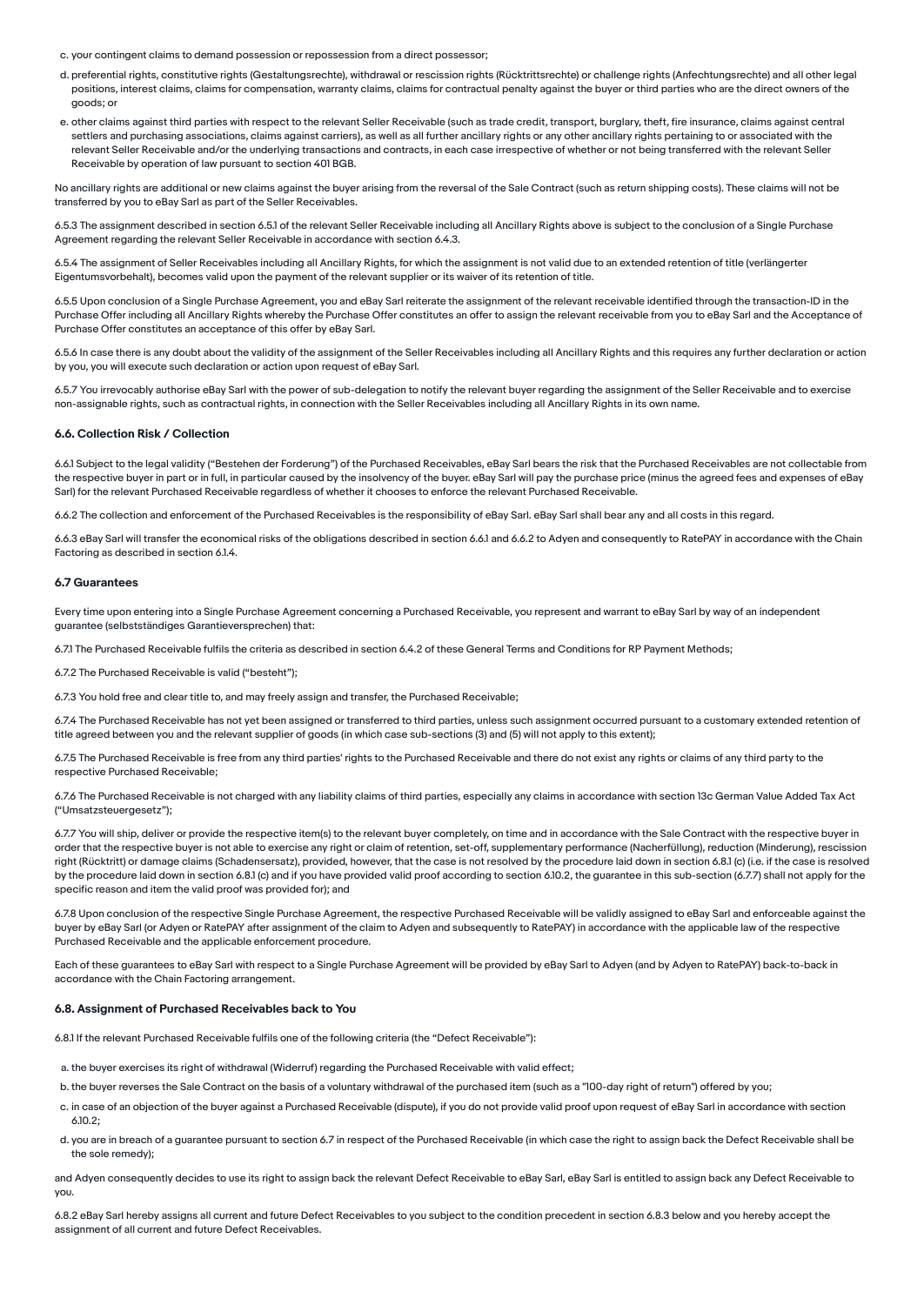c. your contingent claims to demand possession or repossession from a direct possessor;

- d. preferential rights, constitutive rights (Gestaltungsrechte), withdrawal or rescission rights (Rücktrittsrechte) or challenge rights (Anfechtungsrechte) and all other legal positions, interest claims, claims for compensation, warranty claims, claims for contractual penalty against the buyer or third parties who are the direct owners of the goods; or
- e. other claims against third parties with respect to the relevant Seller Receivable (such as trade credit, transport, burglary, theft, fire insurance, claims against central settlers and purchasing associations, claims against carriers), as well as all further ancillary rights or any other ancillary rights pertaining to or associated with the relevant Seller Receivable and/or the underlying transactions and contracts, in each case irrespective of whether or not being transferred with the relevant Seller Receivable by operation of law pursuant to section 401 BGB.

No ancillary rights are additional or new claims against the buyer arising from the reversal of the Sale Contract (such as return shipping costs). These claims will not be transferred by you to eBay Sarl as part of the Seller Receivables.

6.5.3 The assignment described in section 6.5.1 of the relevant Seller Receivable including all Ancillary Rights above is subject to the conclusion of a Single Purchase Agreement regarding the relevant Seller Receivable in accordance with section 6.4.3.

6.5.4 The assignment of Seller Receivables including all Ancillary Rights, for which the assignment is not valid due to an extended retention of title (verlängerter Eigentumsvorbehalt), becomes valid upon the payment of the relevant supplier or its waiver of its retention of title.

6.5.5 Upon conclusion of a Single Purchase Agreement, you and eBay Sarl reiterate the assignment of the relevant receivable identified through the transaction-ID in the Purchase Offer including all Ancillary Rights whereby the Purchase Offer constitutes an offer to assign the relevant receivable from you to eBay Sarl and the Acceptance of Purchase Offer constitutes an acceptance of this offer by eBay Sarl.

6.5.6 In case there is any doubt about the validity of the assignment of the Seller Receivables including all Ancillary Rights and this requires any further declaration or action by you, you will execute such declaration or action upon request of eBay Sarl.

6.5.7 You irrevocably authorise eBay Sarl with the power of sub-delegation to notify the relevant buyer regarding the assignment of the Seller Receivable and to exercise non-assignable rights, such as contractual rights, in connection with the Seller Receivables including all Ancillary Rights in its own name.

#### 6.6. Collection Risk / Collection

6.6.1 Subject to the legal validity ("Bestehen der Forderung") of the Purchased Receivables, eBay Sarl bears the risk that the Purchased Receivables are not collectable from the respective buyer in part or in full, in particular caused by the insolvency of the buyer. eBay Sarl will pay the purchase price (minus the agreed fees and expenses of eBay Sarl) for the relevant Purchased Receivable regardless of whether it chooses to enforce the relevant Purchased Receivable.

6.6.2 The collection and enforcement of the Purchased Receivables is the responsibility of eBay Sarl. eBay Sarl shall bear any and all costs in this regard.

6.6.3 eBay Sarl will transfer the economical risks of the obligations described in section 6.6.1 and 6.6.2 to Adyen and consequently to RatePAY in accordance with the Chain Factoring as described in section 6.1.4.

#### 6.7 Guarantees

Every time upon entering into a Single Purchase Agreement concerning a Purchased Receivable, you represent and warrant to eBay Sarl by way of an independent guarantee (selbstständiges Garantieversprechen) that:

6.7.1 The Purchased Receivable fulfils the criteria as described in section 6.4.2 of these General Terms and Conditions for RP Payment Methods;

6.7.2 The Purchased Receivable is valid ("besteht");

6.7.3 You hold free and clear title to, and may freely assign and transfer, the Purchased Receivable;

6.7.4 The Purchased Receivable has not yet been assigned or transferred to third parties, unless such assignment occurred pursuant to a customary extended retention of title agreed between you and the relevant supplier of goods (in which case sub-sections (3) and (5) will not apply to this extent);

6.7.5 The Purchased Receivable is free from any third parties' rights to the Purchased Receivable and there do not exist any rights or claims of any third party to the respective Purchased Receivable;

6.7.6 The Purchased Receivable is not charged with any liability claims of third parties, especially any claims in accordance with section 13c German Value Added Tax Act ("Umsatzsteuergesetz");

6.7.7 You will ship, deliver or provide the respective item(s) to the relevant buyer completely, on time and in accordance with the Sale Contract with the respective buyer in order that the respective buyer is not able to exercise any right or claim of retention, set-off, supplementary performance (Nacherfüllung), reduction (Minderung), rescission right (Rücktritt) or damage claims (Schadensersatz), provided, however, that the case is not resolved by the procedure laid down in section 6.8.1 (c) (i.e. if the case is resolved by the procedure laid down in section 6.8.1 (c) and if you have provided valid proof according to section 6.10.2, the guarantee in this sub-section (6.7.7) shall not apply for the specific reason and item the valid proof was provided for); and

6.7.8 Upon conclusion of the respective Single Purchase Agreement, the respective Purchased Receivable will be validly assigned to eBay Sarl and enforceable against the buyer by eBay Sarl (or Adyen or RatePAY after assignment of the claim to Adyen and subsequently to RatePAY) in accordance with the applicable law of the respective Purchased Receivable and the applicable enforcement procedure.

Each of these guarantees to eBay Sarl with respect to a Single Purchase Agreement will be provided by eBay Sarl to Adyen (and by Adyen to RatePAY) back-to-back in accordance with the Chain Factoring arrangement.

#### 6.8. Assignment of Purchased Receivables back to You

6.8.1 If the relevant Purchased Receivable fulfils one of the following criteria (the "Defect Receivable"):

- a. the buyer exercises its right of withdrawal (Widerruf) regarding the Purchased Receivable with valid effect;
- b. the buyer reverses the Sale Contract on the basis of a voluntary withdrawal of the purchased item (such as a "100-day right of return") offered by you;
- c. in case of an objection of the buyer against a Purchased Receivable (dispute), if you do not provide valid proof upon request of eBay Sarl in accordance with section 6.10.2;
- d. you are in breach of a guarantee pursuant to section 6.7 in respect of the Purchased Receivable (in which case the right to assign back the Defect Receivable shall be the sole remedy);

and Adyen consequently decides to use its right to assign back the relevant Defect Receivable to eBay Sarl, eBay Sarl is entitled to assign back any Defect Receivable to you.

6.8.2 eBay Sarl hereby assigns all current and future Defect Receivables to you subject to the condition precedent in section 6.8.3 below and you hereby accept the assignment of all current and future Defect Receivables.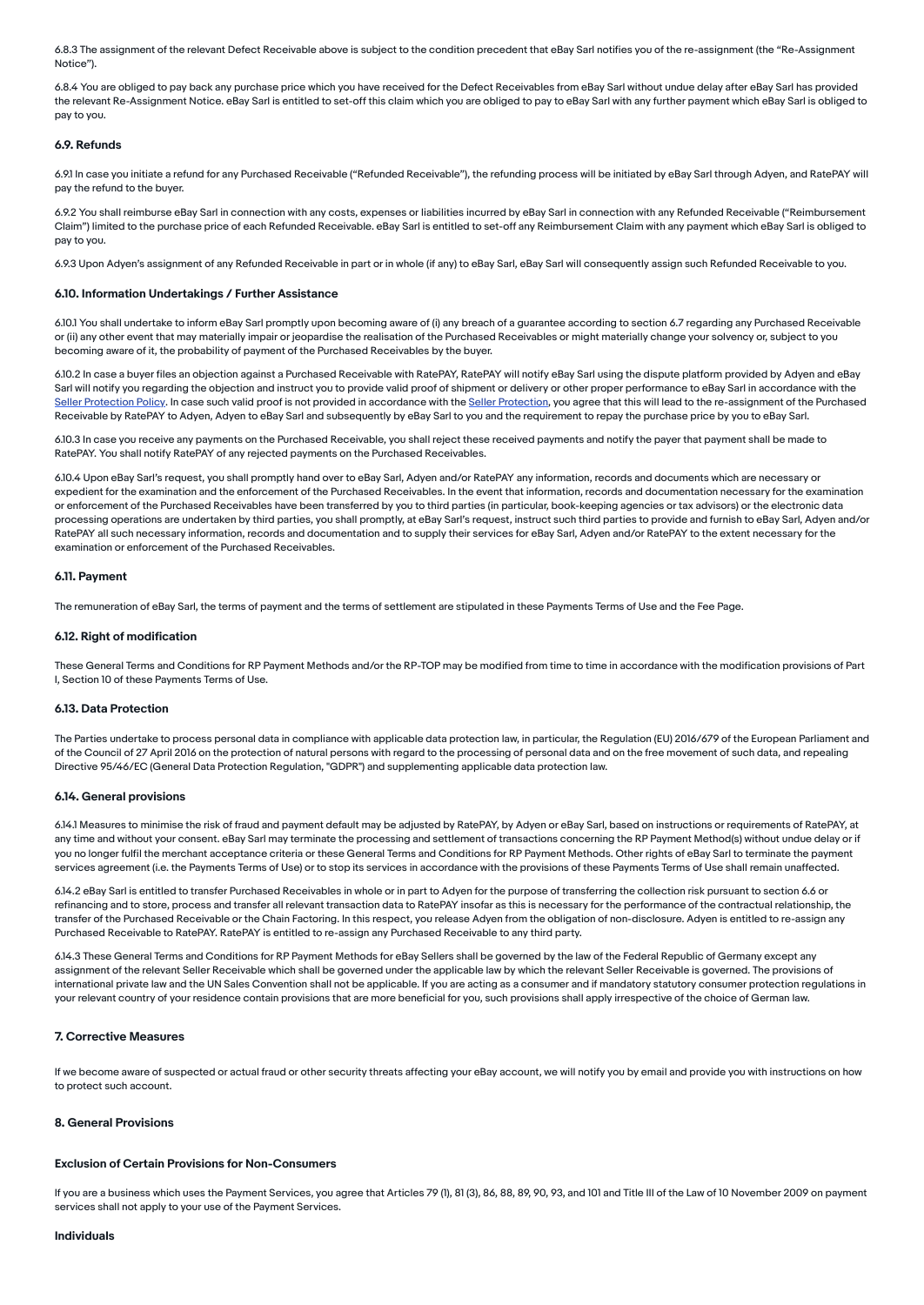6.8.3 The assignment of the relevant Defect Receivable above is subject to the condition precedent that eBay Sarl notifies you of the re-assignment (the "Re-Assignment Notice").

6.8.4 You are obliged to pay back any purchase price which you have received for the Defect Receivables from eBay Sarl without undue delay after eBay Sarl has provided the relevant Re-Assignment Notice. eBay Sarl is entitled to set-off this claim which you are obliged to pay to eBay Sarl with any further payment which eBay Sarl is obliged to pay to you.

#### 6.9. Refunds

6.9.1 In case you initiate a refund for any Purchased Receivable ("Refunded Receivable"), the refunding process will be initiated by eBay Sarl through Adyen, and RatePAY will pay the refund to the buyer.

6.9.2 You shall reimburse eBay Sarl in connection with any costs, expenses or liabilities incurred by eBay Sarl in connection with any Refunded Receivable ("Reimbursement Claim") limited to the purchase price of each Refunded Receivable. eBay Sarl is entitled to set-off any Reimbursement Claim with any payment which eBay Sarl is obliged to pay to you.

6.9.3 Upon Adyen's assignment of any Refunded Receivable in part or in whole (if any) to eBay Sarl, eBay Sarl will consequently assign such Refunded Receivable to you.

#### 6.10. Information Undertakings / Further Assistance

6.10.1 You shall undertake to inform eBay Sarl promptly upon becoming aware of (i) any breach of a guarantee according to section 6.7 regarding any Purchased Receivable or (ii) any other event that may materially impair or jeopardise the realisation of the Purchased Receivables or might materially change your solvency or, subject to you becoming aware of it, the probability of payment of the Purchased Receivables by the buyer.

6.10.2 In case a buyer files an objection against a Purchased Receivable with RatePAY, RatePAY will notify eBay Sarl using the dispute platform provided by Adyen and eBay Sarl will notify you regarding the objection and instruct you to provide valid proof of shipment or delivery or other proper performance to eBay Sarl in accordance with the Seller [Protection](https://www.ebay.co.uk/help/policies/selling-policies/seller-protections?id=4345) Policy. In case such valid proof is not provided in accordance with the Seller Protection, you agree that this will lead to the re-assignment of the Purchased Receivable by RatePAY to Adyen, Adyen to eBay Sarl and subsequently by eBay Sarl to you and the requirement to repay the purchase price by you to eBay Sarl.

6.10.3 In case you receive any payments on the Purchased Receivable, you shall reject these received payments and notify the payer that payment shall be made to RatePAY. You shall notify RatePAY of any rejected payments on the Purchased Receivables.

6.10.4 Upon eBay Sarl's request, you shall promptly hand over to eBay Sarl, Adyen and/or RatePAY any information, records and documents which are necessary or expedient for the examination and the enforcement of the Purchased Receivables. In the event that information, records and documentation necessary for the examination or enforcement of the Purchased Receivables have been transferred by you to third parties (in particular, book-keeping agencies or tax advisors) or the electronic data processing operations are undertaken by third parties, you shall promptly, at eBay Sarl's request, instruct such third parties to provide and furnish to eBay Sarl, Adyen and/or RatePAY all such necessary information, records and documentation and to supply their services for eBay Sarl, Adyen and/or RatePAY to the extent necessary for the examination or enforcement of the Purchased Receivables.

#### 6.11. Payment

The remuneration of eBay Sarl, the terms of payment and the terms of settlement are stipulated in these Payments Terms of Use and the Fee Page.

#### 6.12. Right of modification

These General Terms and Conditions for RP Payment Methods and/or the RP-TOP may be modified from time to time in accordance with the modification provisions of Part I, Section 10 of these Payments Terms of Use.

#### 6.13. Data Protection

The Parties undertake to process personal data in compliance with applicable data protection law, in particular, the Regulation (EU) 2016/679 of the European Parliament and of the Council of 27 April 2016 on the protection of natural persons with regard to the processing of personal data and on the free movement of such data, and repealing Directive 95/46/EC (General Data Protection Regulation, "GDPR") and supplementing applicable data protection law.

#### 6.14. General provisions

6.14.1 Measures to minimise the risk of fraud and payment default may be adjusted by RatePAY, by Adyen or eBay Sarl, based on instructions or requirements of RatePAY, at any time and without your consent. eBay Sarl may terminate the processing and settlement of transactions concerning the RP Payment Method(s) without undue delay or if you no longer fulfil the merchant acceptance criteria or these General Terms and Conditions for RP Payment Methods. Other rights of eBay Sarl to terminate the payment services agreement (i.e. the Payments Terms of Use) or to stop its services in accordance with the provisions of these Payments Terms of Use shall remain unaffected.

6.14.2 eBay Sarl is entitled to transfer Purchased Receivables in whole or in part to Adyen for the purpose of transferring the collection risk pursuant to section 6.6 or refinancing and to store, process and transfer all relevant transaction data to RatePAY insofar as this is necessary for the performance of the contractual relationship, the transfer of the Purchased Receivable or the Chain Factoring. In this respect, you release Adyen from the obligation of non-disclosure. Adyen is entitled to re-assign any Purchased Receivable to RatePAY. RatePAY is entitled to re-assign any Purchased Receivable to any third party.

6.14.3 These General Terms and Conditions for RP Payment Methods for eBay Sellers shall be governed by the law of the Federal Republic of Germany except any assignment of the relevant Seller Receivable which shall be governed under the applicable law by which the relevant Seller Receivable is governed. The provisions of international private law and the UN Sales Convention shall not be applicable. If you are acting as a consumer and if mandatory statutory consumer protection regulations in your relevant country of your residence contain provisions that are more beneficial for you, such provisions shall apply irrespective of the choice of German law.

#### 7. Corrective Measures

If we become aware of suspected or actual fraud or other security threats affecting your eBay account, we will notify you by email and provide you with instructions on how to protect such account.

#### 8. General Provisions

#### Exclusion of Certain Provisions for Non-Consumers

If you are a business which uses the Payment Services, you agree that Articles 79 (1), 81 (3), 86, 88, 89, 90, 93, and 101 and Title III of the Law of 10 November 2009 on payment services shall not apply to your use of the Payment Services.

#### Individuals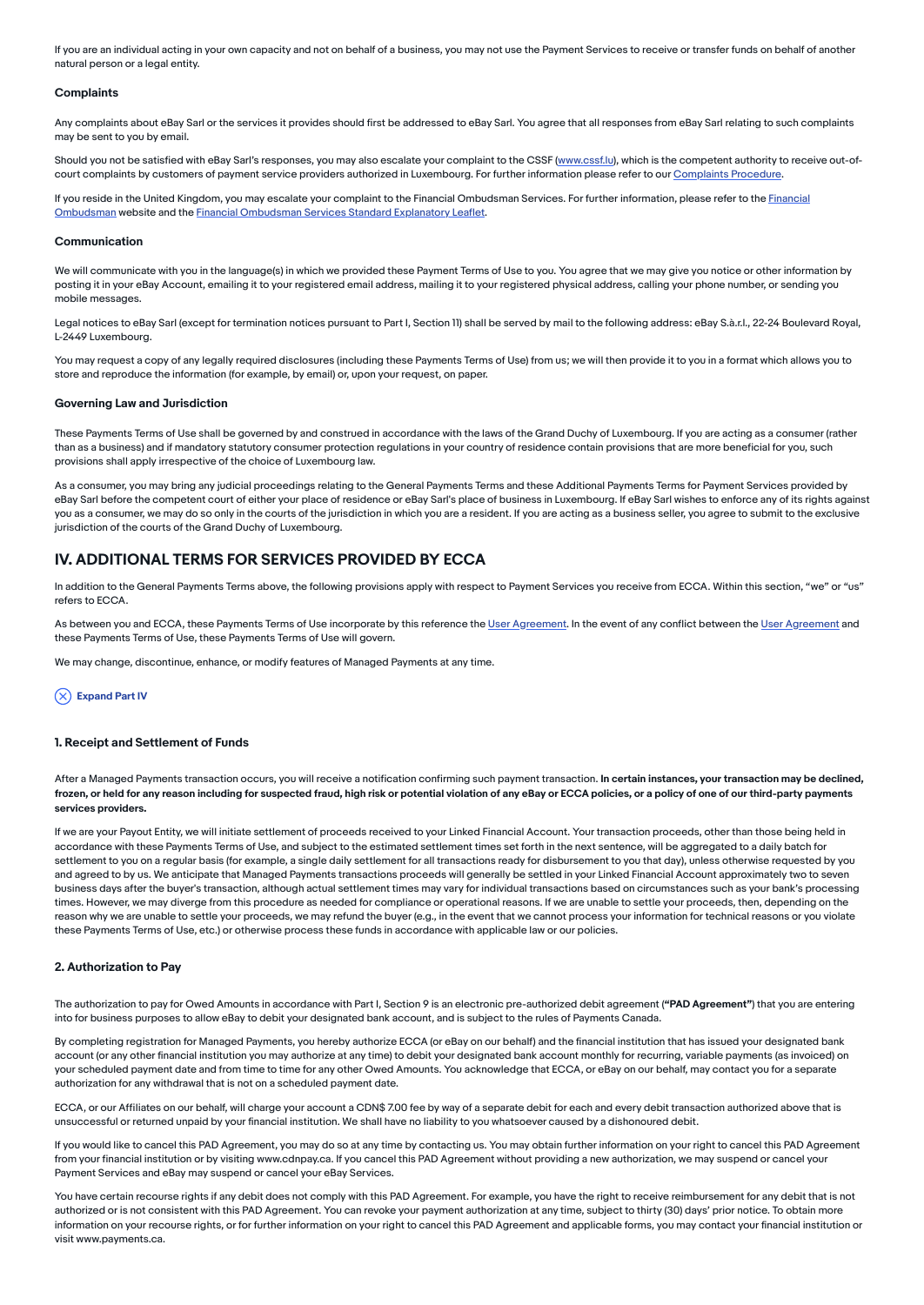If you are an individual acting in your own capacity and not on behalf of a business, you may not use the Payment Services to receive or transfer funds on behalf of another natural person or a legal entity.

#### **Complaints**

Any complaints about eBay Sarl or the services it provides should first be addressed to eBay Sarl. You agree that all responses from eBay Sarl relating to such complaints may be sent to you by email.

Should you not be satisfied with eBay Sarl's responses, you may also escalate your complaint to the CSSF ([www.cssf.lu](https://www.cssf.lu/)), which is the competent authority to receive out-of-court complaints by customers of payment service providers authorized in Luxembourg. For further information please refer to our [Complaints](https://www.ebay.co.uk/help/policies/member-behavior-policies/impressum?id=4714&st=2&pos=1&query=Impressum&intent=Impress#section4) Procedure.

If you reside in the United Kingdom, you may escalate your complaint to the Financial Ombudsman Services. For further information, please refer to the Financial Ombudsman website and the Financial [Ombudsman](https://www.financial-ombudsman.org.uk/) Services Standard Explanatory Leaflet.

#### Communication

We will communicate with you in the language(s) in which we provided these Payment Terms of Use to you. You agree that we may give you notice or other information by posting it in your eBay Account, emailing it to your registered email address, mailing it to your registered physical address, calling your phone number, or sending you mobile messages.

Legal notices to eBay Sarl (except for termination notices pursuant to Part I, Section 11) shall be served by mail to the following address: eBay S.à.r.l., 22-24 Boulevard Royal, L-2449 Luxembourg.

You may request a copy of any legally required disclosures (including these Payments Terms of Use) from us; we will then provide it to you in a format which allows you to store and reproduce the information (for example, by email) or, upon your request, on paper.

#### Governing Law and Jurisdiction

These Payments Terms of Use shall be governed by and construed in accordance with the laws of the Grand Duchy of Luxembourg. If you are acting as a consumer (rather than as a business) and if mandatory statutory consumer protection regulations in your country of residence contain provisions that are more beneficial for you, such provisions shall apply irrespective of the choice of Luxembourg law.

As a consumer, you may bring any judicial proceedings relating to the General Payments Terms and these Additional Payments Terms for Payment Services provided by eBay Sarl before the competent court of either your place of residence or eBay Sarl's place of business in Luxembourg. If eBay Sarl wishes to enforce any of its rights against you as a consumer, we may do so only in the courts of the jurisdiction in which you are a resident. If you are acting as a business seller, you agree to submit to the exclusive jurisdiction of the courts of the Grand Duchy of Luxembourg.

### <span id="page-14-0"></span>IV. ADDITIONAL TERMS FOR SERVICES PROVIDED BY ECCA

In addition to the General Payments Terms above, the following provisions apply with respect to Payment Services you receive from ECCA. Within this section, "we" or "us" refers to ECCA.

As between you and ECCA, these Payments Terms of Use incorporate by this reference the User [Agreement](https://www.ebay.ca/help/policies/member-behaviour-policies/user-agreement?id=4259). In the event of any conflict between the User Agreement and these Payments Terms of Use, these Payments Terms of Use will govern.

We may change, discontinue, enhance, or modify features of Managed Payments at any time.

### $(\overline{\times})$  Expand Part IV

#### 1. Receipt and Settlement of Funds

After a Managed Payments transaction occurs, you will receive a notification confirming such payment transaction. In certain instances, your transaction may be declined, frozen, or held for any reason including for suspected fraud, high risk or potential violation of any eBay or ECCA policies, or a policy of one of our third-party payments services providers.

If we are your Payout Entity, we will initiate settlement of proceeds received to your Linked Financial Account. Your transaction proceeds, other than those being held in accordance with these Payments Terms of Use, and subject to the estimated settlement times set forth in the next sentence, will be aggregated to a daily batch for settlement to you on a regular basis (for example, a single daily settlement for all transactions ready for disbursement to you that day), unless otherwise requested by you and agreed to by us. We anticipate that Managed Payments transactions proceeds will generally be settled in your Linked Financial Account approximately two to seven business days after the buyer's transaction, although actual settlement times may vary for individual transactions based on circumstances such as your bank's processing times. However, we may diverge from this procedure as needed for compliance or operational reasons. If we are unable to settle your proceeds, then, depending on the reason why we are unable to settle your proceeds, we may refund the buyer (e.g., in the event that we cannot process your information for technical reasons or you violate these Payments Terms of Use, etc.) or otherwise process these funds in accordance with applicable law or our policies.

#### 2. Authorization to Pay

The authorization to pay for Owed Amounts in accordance with Part I, Section 9 is an electronic pre-authorized debit agreement ("PAD Agreement") that you are entering into for business purposes to allow eBay to debit your designated bank account, and is subject to the rules of Payments Canada.

By completing registration for Managed Payments, you hereby authorize ECCA (or eBay on our behalf) and the financial institution that has issued your designated bank account (or any other financial institution you may authorize at any time) to debit your designated bank account monthly for recurring, variable payments (as invoiced) on your scheduled payment date and from time to time for any other Owed Amounts. You acknowledge that ECCA, or eBay on our behalf, may contact you for a separate authorization for any withdrawal that is not on a scheduled payment date.

ECCA, or our Affiliates on our behalf, will charge your account a CDN\$ 7.00 fee by way of a separate debit for each and every debit transaction authorized above that is unsuccessful or returned unpaid by your financial institution. We shall have no liability to you whatsoever caused by a dishonoured debit.

If you would like to cancel this PAD Agreement, you may do so at any time by contacting us. You may obtain further information on your right to cancel this PAD Agreement from your financial institution or by visiting www.cdnpay.ca. If you cancel this PAD Agreement without providing a new authorization, we may suspend or cancel your Payment Services and eBay may suspend or cancel your eBay Services.

You have certain recourse rights if any debit does not comply with this PAD Agreement. For example, you have the right to receive reimbursement for any debit that is not authorized or is not consistent with this PAD Agreement. You can revoke your payment authorization at any time, subject to thirty (30) days' prior notice. To obtain more information on your recourse rights, or for further information on your right to cancel this PAD Agreement and applicable forms, you may contact your financial institution or visit www.payments.ca.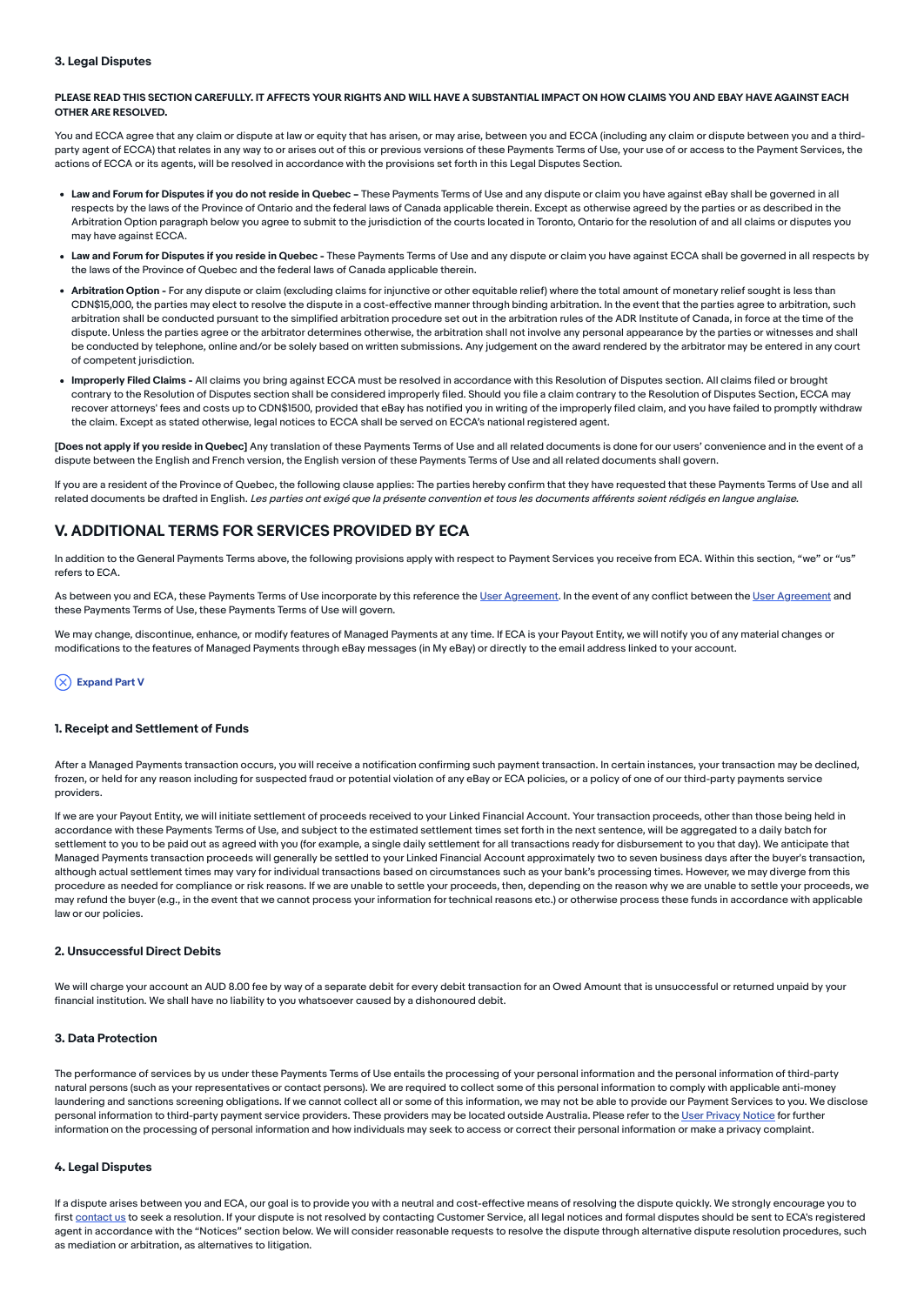### 3. Legal Disputes

### PLEASE READ THIS SECTION CAREFULLY. IT AFFECTS YOUR RIGHTS AND WILL HAVE A SUBSTANTIAL IMPACT ON HOW CLAIMS YOU AND EBAY HAVE AGAINST EACH OTHER ARE RESOLVED.

You and ECCA agree that any claim or dispute at law or equity that has arisen, or may arise, between you and ECCA (including any claim or dispute between you and a thirdparty agent of ECCA) that relates in any way to or arises out of this or previous versions of these Payments Terms of Use, your use of or access to the Payment Services, the actions of ECCA or its agents, will be resolved in accordance with the provisions set forth in this Legal Disputes Section.

- . Law and Forum for Disputes if you do not reside in Quebec These Payments Terms of Use and any dispute or claim you have against eBay shall be governed in all respects by the laws of the Province of Ontario and the federal laws of Canada applicable therein. Except as otherwise agreed by the parties or as described in the Arbitration Option paragraph below you agree to submit to the jurisdiction of the courts located in Toronto, Ontario for the resolution of and all claims or disputes you may have against ECCA.
- Law and Forum for Disputes if you reside in Quebec These Payments Terms of Use and any dispute or claim you have against ECCA shall be governed in all respects by the laws of the Province of Quebec and the federal laws of Canada applicable therein.
- . Arbitration Option For any dispute or claim (excluding claims for injunctive or other equitable relief) where the total amount of monetary relief sought is less than CDN\$15,000, the parties may elect to resolve the dispute in a cost-effective manner through binding arbitration. In the event that the parties agree to arbitration, such arbitration shall be conducted pursuant to the simplified arbitration procedure set out in the arbitration rules of the ADR Institute of Canada, in force at the time of the dispute. Unless the parties agree or the arbitrator determines otherwise, the arbitration shall not involve any personal appearance by the parties or witnesses and shall be conducted by telephone, online and/or be solely based on written submissions. Any judgement on the award rendered by the arbitrator may be entered in any court of competent jurisdiction.
- Improperly Filed Claims All claims you bring against ECCA must be resolved in accordance with this Resolution of Disputes section. All claims filed or brought contrary to the Resolution of Disputes section shall be considered improperly filed. Should you file a claim contrary to the Resolution of Disputes Section, ECCA may recover attorneys' fees and costs up to CDN\$1500, provided that eBay has notified you in writing of the improperly filed claim, and you have failed to promptly withdraw the claim. Except as stated otherwise, legal notices to ECCA shall be served on ECCA's national registered agent.

[Does not apply if you reside in Quebec] Any translation of these Payments Terms of Use and all related documents is done for our users' convenience and in the event of a dispute between the English and French version, the English version of these Payments Terms of Use and all related documents shall govern.

If you are a resident of the Province of Quebec, the following clause applies: The parties hereby confirm that they have requested that these Payments Terms of Use and all related documents be drafted in English. Les parties ont exigé que la présente convention et tous les documents afférents soient rédigés en langue anglaise.

## <span id="page-15-0"></span>V. ADDITIONAL TERMS FOR SERVICES PROVIDED BY ECA

In addition to the General Payments Terms above, the following provisions apply with respect to Payment Services you receive from ECA. Within this section, "we" or "us" refers to ECA.

As between you and ECA, these Payments Terms of Use incorporate by this reference the User [Agreement.](https://www.ebay.com.au/help/policies/member-behaviour-policies/user-agreement?id=4259) In the event of any conflict between the User [Agreement](https://www.ebay.com.au/help/policies/member-behaviour-policies/user-agreement?id=4259) and these Payments Terms of Use, these Payments Terms of Use will govern.

We may change, discontinue, enhance, or modify features of Managed Payments at any time. If ECA is your Payout Entity, we will notify you of any material changes or modifications to the features of Managed Payments through eBay messages (in My eBay) or directly to the email address linked to your account.

### $(\overline{\times})$  Expand Part V

#### 1. Receipt and Settlement of Funds

After a Managed Payments transaction occurs, you will receive a notification confirming such payment transaction. In certain instances, your transaction may be declined, frozen, or held for any reason including for suspected fraud or potential violation of any eBay or ECA policies, or a policy of one of our third-party payments service providers.

If we are your Payout Entity, we will initiate settlement of proceeds received to your Linked Financial Account. Your transaction proceeds, other than those being held in accordance with these Payments Terms of Use, and subject to the estimated settlement times set forth in the next sentence, will be aggregated to a daily batch for settlement to you to be paid out as agreed with you (for example, a single daily settlement for all transactions ready for disbursement to you that day). We anticipate that Managed Payments transaction proceeds will generally be settled to your Linked Financial Account approximately two to seven business days after the buyer's transaction, although actual settlement times may vary for individual transactions based on circumstances such as your bank's processing times. However, we may diverge from this procedure as needed for compliance or risk reasons. If we are unable to settle your proceeds, then, depending on the reason why we are unable to settle your proceeds, we may refund the buyer (e.g., in the event that we cannot process your information for technical reasons etc.) or otherwise process these funds in accordance with applicable law or our policies.

### 2. Unsuccessful Direct Debits

We will charge your account an AUD 8.00 fee by way of a separate debit for every debit transaction for an Owed Amount that is unsuccessful or returned unpaid by your financial institution. We shall have no liability to you whatsoever caused by a dishonoured debit.

### 3. Data Protection

The performance of services by us under these Payments Terms of Use entails the processing of your personal information and the personal information of third-party natural persons (such as your representatives or contact persons). We are required to collect some of this personal information to comply with applicable anti-money laundering and sanctions screening obligations. If we cannot collect all or some of this information, we may not be able to provide our Payment Services to you. We disclose personal information to third-party payment service providers. These providers may be located outside Australia. Please refer to the User [Privacy](https://www.ebay.com.au/help/policies/member-behaviour-policies/user-privacy-notice-privacy-policy?id=4260) Notice for further information on the processing of personal information and how individuals may seek to access or correct their personal information or make a privacy complaint.

### 4. Legal Disputes

If a dispute arises between you and ECA, our goal is to provide you with a neutral and cost-effective means of resolving the dispute quickly. We strongly encourage you to first [contact](https://www.ebay.com.au/help/policies/member-behaviour-policies/user-agreement?id=4259#24) us to seek a resolution. If your dispute is not resolved by contacting Customer Service, all legal notices and formal disputes should be sent to ECA's registered agent in accordance with the "Notices" section below. We will consider reasonable requests to resolve the dispute through alternative dispute resolution procedures, such as mediation or arbitration, as alternatives to litigation.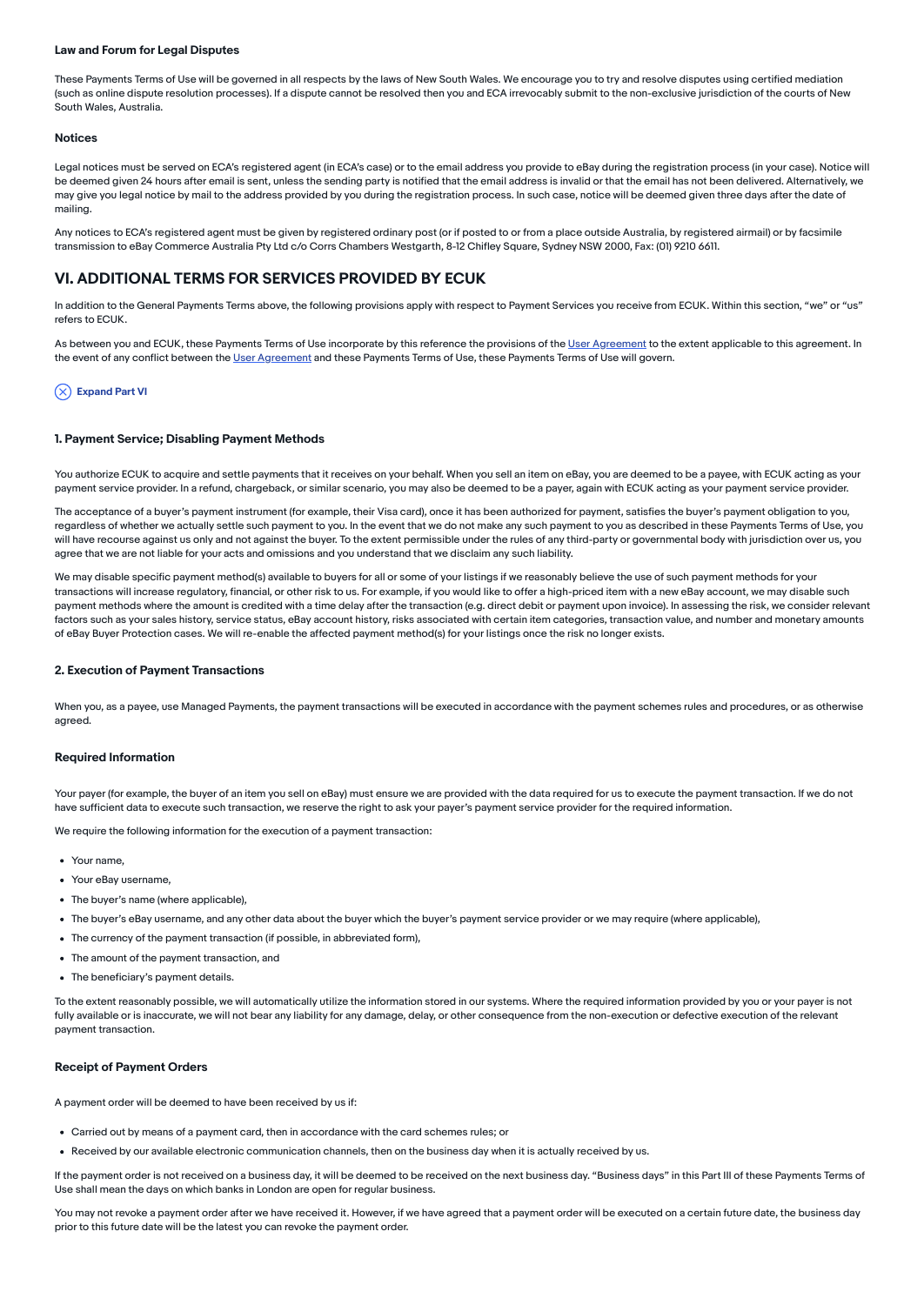#### Law and Forum for Legal Disputes

These Payments Terms of Use will be governed in all respects by the laws of New South Wales. We encourage you to try and resolve disputes using certified mediation (such as online dispute resolution processes). If a dispute cannot be resolved then you and ECA irrevocably submit to the non-exclusive jurisdiction of the courts of New South Wales, Australia.

#### Notices

Legal notices must be served on ECA's registered agent (in ECA's case) or to the email address you provide to eBay during the registration process (in your case). Notice will be deemed given 24 hours after email is sent, unless the sending party is notified that the email address is invalid or that the email has not been delivered. Alternatively, we may give you legal notice by mail to the address provided by you during the registration process. In such case, notice will be deemed given three days after the date of mailing.

Any notices to ECA's registered agent must be given by registered ordinary post (or if posted to or from a place outside Australia, by registered airmail) or by facsimile transmission to eBay Commerce Australia Pty Ltd c/o Corrs Chambers Westgarth, 8-12 Chifley Square, Sydney NSW 2000, Fax: (01) 9210 6611.

### <span id="page-16-0"></span>VI. ADDITIONAL TERMS FOR SERVICES PROVIDED BY ECUK

In addition to the General Payments Terms above, the following provisions apply with respect to Payment Services you receive from ECUK. Within this section, "we" or "us" refers to ECUK.

As between you and ECUK, these Payments Terms of Use incorporate by this reference the provisions of the User [Agreement](https://www.ebay.co.uk/help/policies/member-behaviour-policies/user-agreement?id=4259) to the extent applicable to this agreement. In the event of any conflict between the User [Agreement](https://www.ebay.co.uk/help/policies/member-behaviour-policies/user-agreement?id=4259) and these Payments Terms of Use, these Payments Terms of Use will govern.

#### $(\overline{\times})$  Expand Part VI

#### 1. Payment Service; Disabling Payment Methods

You authorize ECUK to acquire and settle payments that it receives on your behalf. When you sell an item on eBay, you are deemed to be a payee, with ECUK acting as your payment service provider. In a refund, chargeback, or similar scenario, you may also be deemed to be a payer, again with ECUK acting as your payment service provider.

The acceptance of a buyer's payment instrument (for example, their Visa card), once it has been authorized for payment, satisfies the buyer's payment obligation to you, regardless of whether we actually settle such payment to you. In the event that we do not make any such payment to you as described in these Payments Terms of Use, you will have recourse against us only and not against the buyer. To the extent permissible under the rules of any third-party or governmental body with jurisdiction over us, you agree that we are not liable for your acts and omissions and you understand that we disclaim any such liability.

We may disable specific payment method(s) available to buyers for all or some of your listings if we reasonably believe the use of such payment methods for your transactions will increase regulatory, financial, or other risk to us. For example, if you would like to offer a high-priced item with a new eBay account, we may disable such payment methods where the amount is credited with a time delay after the transaction (e.g. direct debit or payment upon invoice). In assessing the risk, we consider relevant factors such as your sales history, service status, eBay account history, risks associated with certain item categories, transaction value, and number and monetary amounts of eBay Buyer Protection cases. We will re-enable the affected payment method(s) for your listings once the risk no longer exists.

#### 2. Execution of Payment Transactions

When you, as a payee, use Managed Payments, the payment transactions will be executed in accordance with the payment schemes rules and procedures, or as otherwise agreed.

#### Required Information

Your payer (for example, the buyer of an item you sell on eBay) must ensure we are provided with the data required for us to execute the payment transaction. If we do not have sufficient data to execute such transaction, we reserve the right to ask your payer's payment service provider for the required information.

We require the following information for the execution of a payment transaction:

- Your name
- Your eBay username,
- The buyer's name (where applicable).
- The buyer's eBay username, and any other data about the buyer which the buyer's payment service provider or we may require (where applicable),
- The currency of the payment transaction (if possible, in abbreviated form),
- The amount of the payment transaction, and
- The beneficiary's payment details.

To the extent reasonably possible, we will automatically utilize the information stored in our systems. Where the required information provided by you or your payer is not fully available or is inaccurate, we will not bear any liability for any damage, delay, or other consequence from the non-execution or defective execution of the relevant payment transaction.

### Receipt of Payment Orders

A payment order will be deemed to have been received by us if:

- Carried out by means of a payment card, then in accordance with the card schemes rules; or
- Received by our available electronic communication channels, then on the business day when it is actually received by us.

If the payment order is not received on a business day, it will be deemed to be received on the next business day. "Business days" in this Part III of these Payments Terms of Use shall mean the days on which banks in London are open for regular business.

You may not revoke a payment order after we have received it. However, if we have agreed that a payment order will be executed on a certain future date, the business day prior to this future date will be the latest you can revoke the payment order.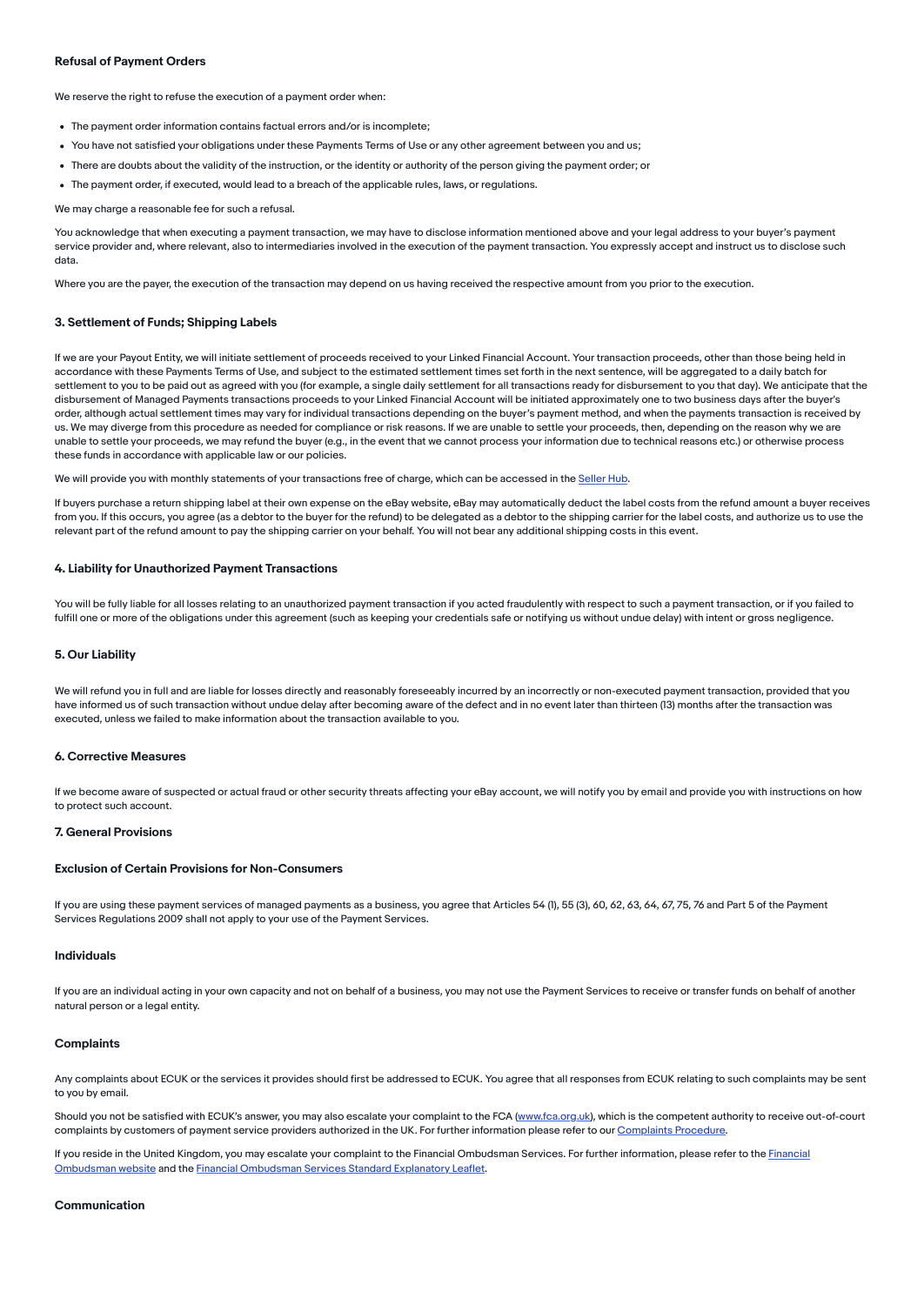### Refusal of Payment Orders

We reserve the right to refuse the execution of a payment order when:

- The payment order information contains factual errors and/or is incomplete;
- You have not satisfied your obligations under these Payments Terms of Use or any other agreement between you and us;
- There are doubts about the validity of the instruction, or the identity or authority of the person giving the payment order; or
- The payment order, if executed, would lead to a breach of the applicable rules, laws, or regulations.

We may charge a reasonable fee for such a refusal.

You acknowledge that when executing a payment transaction, we may have to disclose information mentioned above and your legal address to your buyer's payment service provider and, where relevant, also to intermediaries involved in the execution of the payment transaction. You expressly accept and instruct us to disclose such data.

Where you are the payer, the execution of the transaction may depend on us having received the respective amount from you prior to the execution.

#### 3. Settlement of Funds; Shipping Labels

If we are your Payout Entity, we will initiate settlement of proceeds received to your Linked Financial Account. Your transaction proceeds, other than those being held in accordance with these Payments Terms of Use, and subject to the estimated settlement times set forth in the next sentence, will be aggregated to a daily batch for settlement to you to be paid out as agreed with you (for example, a single daily settlement for all transactions ready for disbursement to you that day). We anticipate that the disbursement of Managed Payments transactions proceeds to your Linked Financial Account will be initiated approximately one to two business days after the buyer's order, although actual settlement times may vary for individual transactions depending on the buyer's payment method, and when the payments transaction is received by us. We may diverge from this procedure as needed for compliance or risk reasons. If we are unable to settle your proceeds, then, depending on the reason why we are unable to settle your proceeds, we may refund the buyer (e.g., in the event that we cannot process your information due to technical reasons etc.) or otherwise process these funds in accordance with applicable law or our policies.

We will provide you with monthly statements of your transactions free of charge, which can be accessed in the [Seller](https://www.ebay.co.uk/help/selling/selling-tools/seller-hub?id=4095&st=3&pos=1&query=Seller%20Hub) Hub.

If buyers purchase a return shipping label at their own expense on the eBay website, eBay may automatically deduct the label costs from the refund amount a buyer receives from you. If this occurs, you agree (as a debtor to the buyer for the refund) to be delegated as a debtor to the shipping carrier for the label costs, and authorize us to use the relevant part of the refund amount to pay the shipping carrier on your behalf. You will not bear any additional shipping costs in this event.

#### 4. Liability for Unauthorized Payment Transactions

You will be fully liable for all losses relating to an unauthorized payment transaction if you acted fraudulently with respect to such a payment transaction, or if you failed to fulfill one or more of the obligations under this agreement (such as keeping your credentials safe or notifying us without undue delay) with intent or gross negligence.

#### 5. Our Liability

We will refund you in full and are liable for losses directly and reasonably foreseeably incurred by an incorrectly or non-executed payment transaction, provided that you have informed us of such transaction without undue delay after becoming aware of the defect and in no event later than thirteen (13) months after the transaction was executed, unless we failed to make information about the transaction available to you.

#### 6. Corrective Measures

If we become aware of suspected or actual fraud or other security threats affecting your eBay account, we will notify you by email and provide you with instructions on how to protect such account.

#### 7. General Provisions

#### Exclusion of Certain Provisions for Non-Consumers

If you are using these payment services of managed payments as a business, you agree that Articles 54 (1), 55 (3), 60, 62, 63, 64, 67, 75, 76 and Part 5 of the Payment Services Regulations 2009 shall not apply to your use of the Payment Services.

#### Individuals

If you are an individual acting in your own capacity and not on behalf of a business, you may not use the Payment Services to receive or transfer funds on behalf of another natural person or a legal entity.

#### **Complaints**

Any complaints about ECUK or the services it provides should first be addressed to ECUK. You agree that all responses from ECUK relating to such complaints may be sent to you by email.

Should you not be satisfied with ECUK's answer, you may also escalate your complaint to the FCA ([www.fca.org.uk](http://127.0.0.1:5500/html00/payment/2.0/www.fca.org.uk)), which is the competent authority to receive out-of-court complaints by customers of payment service providers authorized in the UK. For further information please refer to our [Complaints](https://www.ebay.co.uk/help/policies/member-behavior-policies/impressum?id=4714&st=2&pos=1&query=Impressum&intent=Impress#section4) Procedure.

If you reside in the United Kingdom, you may escalate your complaint to the Financial Ombudsman Services. For further information, please refer to the Financial Ombudsman website and the Financial [Ombudsman](https://www.financial-ombudsman.org.uk/) Services Standard Explanatory Leaflet.

#### Communication